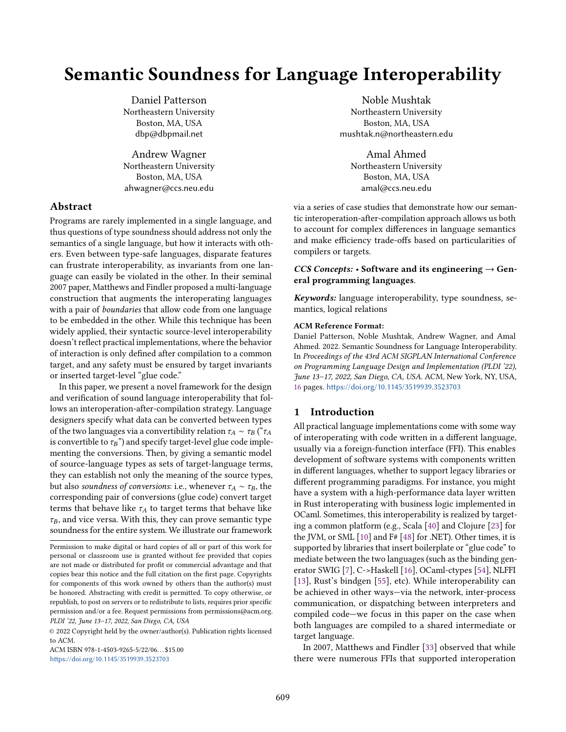# Semantic Soundness for Language Interoperability

Daniel Patterson Northeastern University Boston, MA, USA dbp@dbpmail.net

Andrew Wagner Northeastern University Boston, MA, USA ahwagner@ccs.neu.edu

# Abstract

Programs are rarely implemented in a single language, and thus questions of type soundness should address not only the semantics of a single language, but how it interacts with others. Even between type-safe languages, disparate features can frustrate interoperability, as invariants from one language can easily be violated in the other. In their seminal 2007 paper, Matthews and Findler proposed a multi-language construction that augments the interoperating languages with a pair of *boundaries* that allow code from one language to be embedded in the other. While this technique has been widely applied, their syntactic source-level interoperability doesn't reflect practical implementations, where the behavior of interaction is only defined after compilation to a common target, and any safety must be ensured by target invariants or inserted target-level "glue code."

In this paper, we present a novel framework for the design and verification of sound language interoperability that follows an interoperation-after-compilation strategy. Language designers specify what data can be converted between types of the two languages via a convertibility relation  $\tau_A \sim \tau_B$  (" $\tau_A$ is convertible to  $\tau_B$ ") and specify target-level glue code implementing the conversions. Then, by giving a semantic model of source-language types as sets of target-language terms, they can establish not only the meaning of the source types, but also soundness of conversions: i.e., whenever  $\tau_A \sim \tau_B$ , the corresponding pair of conversions (glue code) convert target terms that behave like  $\tau_A$  to target terms that behave like  $\tau_B$ , and vice versa. With this, they can prove semantic type soundness for the entire system. We illustrate our framework

ACM ISBN 978-1-4503-9265-5/22/06. . . \$15.00 <https://doi.org/10.1145/3519939.3523703>

Noble Mushtak Northeastern University Boston, MA, USA mushtak.n@northeastern.edu

Amal Ahmed Northeastern University Boston, MA, USA amal@ccs.neu.edu

via a series of case studies that demonstrate how our semantic interoperation-after-compilation approach allows us both to account for complex differences in language semantics and make efficiency trade-offs based on particularities of compilers or targets.

# CCS Concepts:  $\cdot$  Software and its engineering  $\rightarrow$  General programming languages.

Keywords: language interoperability, type soundness, semantics, logical relations

#### ACM Reference Format:

Daniel Patterson, Noble Mushtak, Andrew Wagner, and Amal Ahmed. 2022. Semantic Soundness for Language Interoperability. In Proceedings of the 43rd ACM SIGPLAN International Conference on Programming Language Design and Implementation (PLDI '22), June 13–17, 2022, San Diego, CA, USA. ACM, New York, NY, USA, [16](#page-15-0) pages. <https://doi.org/10.1145/3519939.3523703>

# 1 Introduction

All practical language implementations come with some way of interoperating with code written in a different language, usually via a foreign-function interface (FFI). This enables development of software systems with components written in different languages, whether to support legacy libraries or different programming paradigms. For instance, you might have a system with a high-performance data layer written in Rust interoperating with business logic implemented in OCaml. Sometimes, this interoperability is realized by targeting a common platform (e.g., Scala [\[40\]](#page-15-1) and Clojure [\[23\]](#page-14-0) for the JVM, or SML [\[10\]](#page-14-1) and F# [\[48\]](#page-15-2) for .NET). Other times, it is supported by libraries that insert boilerplate or "glue code" to mediate between the two languages (such as the binding generator SWIG [\[7\]](#page-14-2), C->Haskell [\[16\]](#page-14-3), OCaml-ctypes [\[54\]](#page-15-3), NLFFI [\[13\]](#page-14-4), Rust's bindgen [\[55\]](#page-15-4), etc). While interoperability can be achieved in other ways—via the network, inter-process communication, or dispatching between interpreters and compiled code—we focus in this paper on the case when both languages are compiled to a shared intermediate or target language.

In 2007, Matthews and Findler [\[33\]](#page-15-5) observed that while there were numerous FFIs that supported interoperation

Permission to make digital or hard copies of all or part of this work for personal or classroom use is granted without fee provided that copies are not made or distributed for profit or commercial advantage and that copies bear this notice and the full citation on the first page. Copyrights for components of this work owned by others than the author(s) must be honored. Abstracting with credit is permitted. To copy otherwise, or republish, to post on servers or to redistribute to lists, requires prior specific permission and/or a fee. Request permissions from permissions@acm.org. PLDI '22, June 13–17, 2022, San Diego, CA, USA

<sup>©</sup> 2022 Copyright held by the owner/author(s). Publication rights licensed to ACM.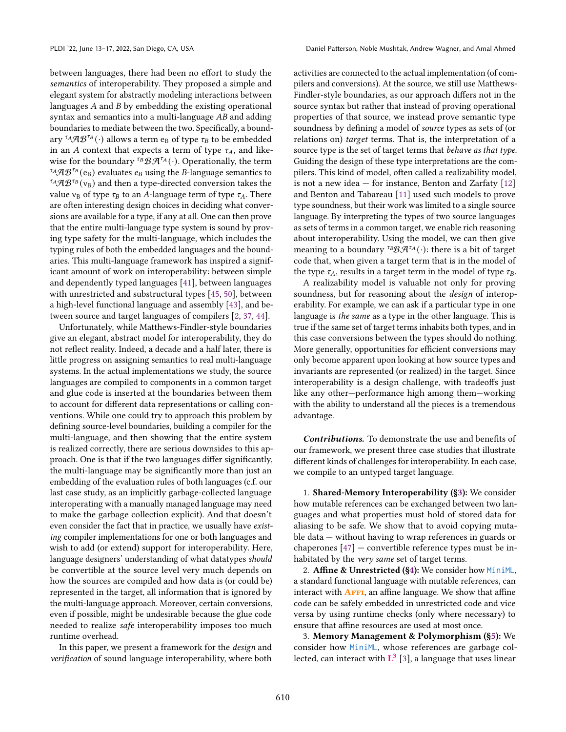between languages, there had been no effort to study the semantics of interoperability. They proposed a simple and elegant system for abstractly modeling interactions between languages  $A$  and  $B$  by embedding the existing operational syntax and semantics into a multi-language  $AB$  and adding boundaries to mediate between the two. Specifically, a boundary  ${}^{\tau_A}\mathcal{A}\mathcal{B}^{\tau_B}(\cdot)$  allows a term  ${\rm e}_{\rm B}$  of type  $\tau_B$  to be embedded in an A context that expects a term of type  $\tau_A$ , and likewise for the boundary <sup> $\tau_B$ </sup>  $\mathcal{B} \mathcal{A}^{\tau_A}(\cdot)$ . Operationally, the term  $\mathcal{F}_A\mathcal{A}\mathcal{B}^{\mathcal{F}_B}(e_B)$  evaluates  $e_B$  using the B-language semantics to  $^{t_{A}}AB^{t_{B}}(v_{B})$  and then a type-directed conversion takes the value  $v_B$  of type  $\tau_B$  to an A-language term of type  $\tau_A$ . There are often interesting design choices in deciding what conversions are available for a type, if any at all. One can then prove that the entire multi-language type system is sound by proving type safety for the multi-language, which includes the typing rules of both the embedded languages and the boundaries. This multi-language framework has inspired a significant amount of work on interoperability: between simple and dependently typed languages [\[41\]](#page-15-6), between languages with unrestricted and substructural types [\[45,](#page-15-7) [50\]](#page-15-8), between a high-level functional language and assembly [\[43\]](#page-15-9), and between source and target languages of compilers [\[2,](#page-14-5) [37,](#page-15-10) [44\]](#page-15-11).

Unfortunately, while Matthews-Findler-style boundaries give an elegant, abstract model for interoperability, they do not reflect reality. Indeed, a decade and a half later, there is little progress on assigning semantics to real multi-language systems. In the actual implementations we study, the source languages are compiled to components in a common target and glue code is inserted at the boundaries between them to account for different data representations or calling conventions. While one could try to approach this problem by defining source-level boundaries, building a compiler for the multi-language, and then showing that the entire system is realized correctly, there are serious downsides to this approach. One is that if the two languages differ significantly, the multi-language may be significantly more than just an embedding of the evaluation rules of both languages (c.f. our last case study, as an implicitly garbage-collected language interoperating with a manually managed language may need to make the garbage collection explicit). And that doesn't even consider the fact that in practice, we usually have existing compiler implementations for one or both languages and wish to add (or extend) support for interoperability. Here, language designers' understanding of what datatypes should be convertible at the source level very much depends on how the sources are compiled and how data is (or could be) represented in the target, all information that is ignored by the multi-language approach. Moreover, certain conversions, even if possible, might be undesirable because the glue code needed to realize safe interoperability imposes too much runtime overhead.

In this paper, we present a framework for the design and verification of sound language interoperability, where both activities are connected to the actual implementation (of compilers and conversions). At the source, we still use Matthews-Findler-style boundaries, as our approach differs not in the source syntax but rather that instead of proving operational properties of that source, we instead prove semantic type soundness by defining a model of source types as sets of (or relations on) target terms. That is, the interpretation of a source type is the set of target terms that *behave as that type*. Guiding the design of these type interpretations are the compilers. This kind of model, often called a realizability model, is not a new idea  $-$  for instance, Benton and Zarfaty  $[12]$ and Benton and Tabareau [\[11\]](#page-14-7) used such models to prove type soundness, but their work was limited to a single source language. By interpreting the types of two source languages as sets of terms in a common target, we enable rich reasoning about interoperability. Using the model, we can then give meaning to a boundary <sup>TB</sup> $\mathcal{B} \mathcal{A}^{\tau_A}(\cdot)$ : there is a bit of target code that, when given a target term that is in the model of the type  $\tau_A$ , results in a target term in the model of type  $\tau_B$ .

A realizability model is valuable not only for proving soundness, but for reasoning about the design of interoperability. For example, we can ask if a particular type in one language is the same as a type in the other language. This is true if the same set of target terms inhabits both types, and in this case conversions between the types should do nothing. More generally, opportunities for efficient conversions may only become apparent upon looking at how source types and invariants are represented (or realized) in the target. Since interoperability is a design challenge, with tradeoffs just like any other—performance high among them—working with the ability to understand all the pieces is a tremendous advantage.

Contributions. To demonstrate the use and benefits of our framework, we present three case studies that illustrate different kinds of challenges for interoperability. In each case, we compile to an untyped target language.

1. Shared-Memory Interoperability ([§3\)](#page-3-0): We consider how mutable references can be exchanged between two languages and what properties must hold of stored data for aliasing to be safe. We show that to avoid copying mutable data — without having to wrap references in guards or chaperones [\[47\]](#page-15-12) — convertible reference types must be inhabitated by the very same set of target terms.

2. Affine & Unrestricted ([§4\)](#page-5-0): We consider how MiniML, a standard functional language with mutable references, can interact with  $\overline{AFF1}$ , an affine language. We show that affine code can be safely embedded in unrestricted code and vice versa by using runtime checks (only where necessary) to ensure that affine resources are used at most once.

3. Memory Management & Polymorphism ([§5\)](#page-9-0): We consider how MiniML, whose references are garbage collected, can interact with  $L^3$  [\[3\]](#page-14-8), a language that uses linear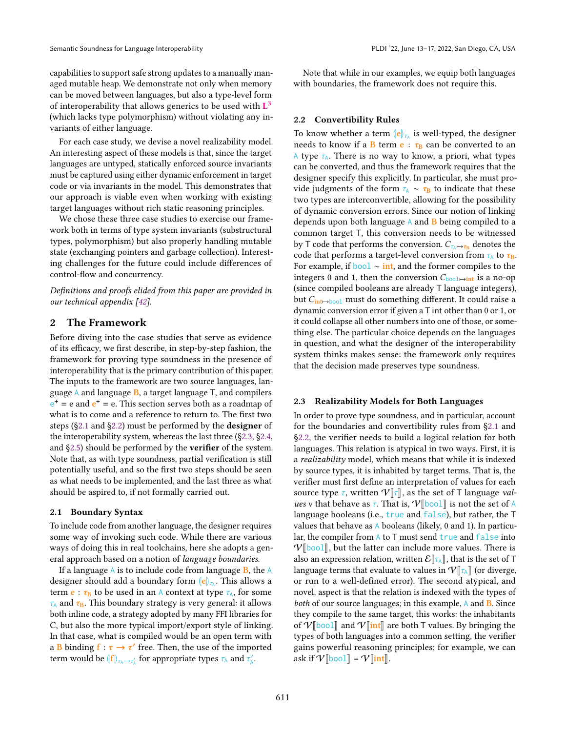capabilities to support safe strong updates to a manually managed mutable heap. We demonstrate not only when memory can be moved between languages, but also a type-level form of interoperability that allows generics to be used with  $L^3$ (which lacks type polymorphism) without violating any invariants of either language.

For each case study, we devise a novel realizability model. An interesting aspect of these models is that, since the target languages are untyped, statically enforced source invariants must be captured using either dynamic enforcement in target code or via invariants in the model. This demonstrates that our approach is viable even when working with existing target languages without rich static reasoning principles.

We chose these three case studies to exercise our framework both in terms of type system invariants (substructural types, polymorphism) but also properly handling mutable state (exchanging pointers and garbage collection). Interesting challenges for the future could include differences of control-flow and concurrency.

Definitions and proofs elided from this paper are provided in our technical appendix [\[42\]](#page-15-13).

# 2 The Framework

Before diving into the case studies that serve as evidence of its efficacy, we first describe, in step-by-step fashion, the framework for proving type soundness in the presence of interoperability that is the primary contribution of this paper. The inputs to the framework are two source languages, language  $A$  and language  $B$ , a target language  $T$ , and compilers  $e^+$  = e and  $e^+$  = e. This section serves both as a roadmap of what is to come and a reference to return to. The first two steps ([§2.1](#page-2-0) and [§2.2\)](#page-2-1) must be performed by the designer of the interoperability system, whereas the last three ([§2.3,](#page-2-2) [§2.4,](#page-3-1) and [§2.5\)](#page-3-2) should be performed by the verifier of the system. Note that, as with type soundness, partial verification is still potentially useful, and so the first two steps should be seen as what needs to be implemented, and the last three as what should be aspired to, if not formally carried out.

#### <span id="page-2-0"></span>2.1 Boundary Syntax

To include code from another language, the designer requires some way of invoking such code. While there are various ways of doing this in real toolchains, here she adopts a general approach based on a notion of language boundaries.

If a language  $\overline{A}$  is to include code from language  $\overline{B}$ , the  $\overline{A}$ designer should add a boundary form  $\|\mathbf{e}\|_{\mathcal{V}_\lambda}$ . This allows a term **e** :  $\tau_B$  to be used in an A context at type  $\tau_A$ , for some  $\tau_A$  and  $\tau_B$ . This boundary strategy is very general: it allows both inline code, a strategy adopted by many FFI libraries for C, but also the more typical import/export style of linking. In that case, what is compiled would be an open term with a B binding  $f : \tau \to \tau'$  free. Then, the use of the imported term would be  $\langle |f| \rangle_{\tau_A \to \tau_A'}$  for appropriate types  $\tau_A$  and  $\tau_A'$ .

Note that while in our examples, we equip both languages with boundaries, the framework does not require this.

#### <span id="page-2-1"></span>2.2 Convertibility Rules

To know whether a term  $\left\|\mathbf{e}\right\|_{\mathcal{I}_h}$  is well-typed, the designer needs to know if a B term  $\mathbf{e} : \tau_{\text{B}}$  can be converted to an A type  $\tau_A$ . There is no way to know, a priori, what types can be converted, and thus the framework requires that the designer specify this explicitly. In particular, she must provide judgments of the form  $\tau_A \sim \tau_B$  to indicate that these two types are interconvertible, allowing for the possibility of dynamic conversion errors. Since our notion of linking depends upon both language  $\overline{A}$  and  $\overline{B}$  being compiled to a common target T, this conversion needs to be witnessed by T code that performs the conversion.  $C_{\tau_{\mathbb{A}} \mapsto \tau_{\mathbb{B}}}$  denotes the code that performs a target-level conversion from  $\tau_A$  to  $\tau_B$ . For example, if bool  $\sim$  int, and the former compiles to the integers 0 and 1, then the conversion  $C_{\text{bool}\rightarrow\text{int}}$  is a no-op (since compiled booleans are already T language integers), but  $C_{\text{int}\mapsto \text{bool}}$  must do something different. It could raise a dynamic conversion error if given a T int other than 0 or 1, or it could collapse all other numbers into one of those, or something else. The particular choice depends on the languages in question, and what the designer of the interoperability system thinks makes sense: the framework only requires that the decision made preserves type soundness.

#### <span id="page-2-2"></span>2.3 Realizability Models for Both Languages

In order to prove type soundness, and in particular, account for the boundaries and convertibility rules from [§2.1](#page-2-0) and [§2.2,](#page-2-1) the verifier needs to build a logical relation for both languages. This relation is atypical in two ways. First, it is a realizability model, which means that while it is indexed by source types, it is inhabited by target terms. That is, the verifier must first define an interpretation of values for each source type  $\tau$ , written  $V[\tau]$ , as the set of T language values v that behave as  $\tau$ . That is,  $V[\text{bool}]$  is not the set of A language booleans (i.e., true and false), but rather, the T values that behave as  $\Lambda$  booleans (likely, 0 and 1). In particular, the compiler from  $A$  to  $T$  must send true and false into  $V[\text{bool}]$ , but the latter can include more values. There is also an expression relation, written  $\mathcal{E}[\![\tau_A]\!]$ , that is the set of T language terms that evaluate to values in  $V[\![\tau_A]\!]$  (or diverge, or run to a well-defined error). The second atypical, and novel, aspect is that the relation is indexed with the types of both of our source languages; in this example, A and **B**. Since they compile to the same target, this works: the inhabitants of  $V$ [bool] and  $V$ [int] are both T values. By bringing the types of both languages into a common setting, the verifier gains powerful reasoning principles; for example, we can ask if  $V$ [bool] =  $V$ [int].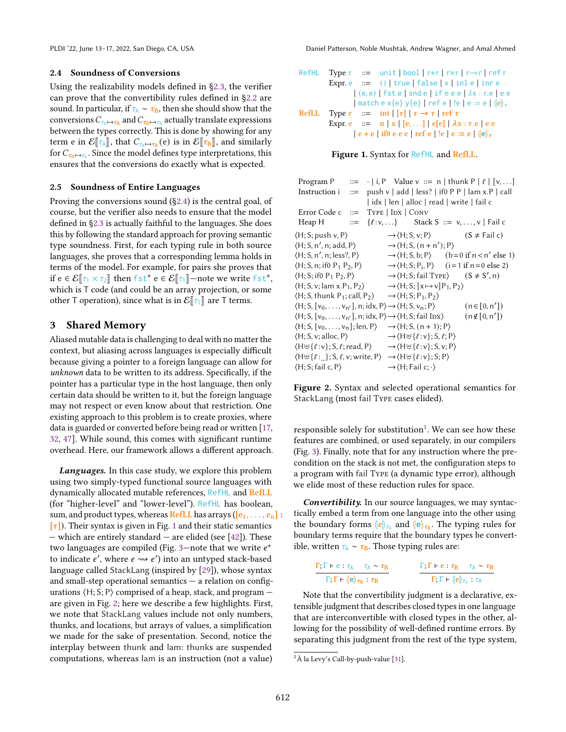#### <span id="page-3-1"></span>2.4 Soundness of Conversions

Using the realizability models defined in [§2.3,](#page-2-2) the verifier can prove that the convertibility rules defined in [§2.2](#page-2-1) are sound. In particular, if  $\tau_A \sim \tau_B$ , then she should show that the conversions  $C_{\tau_\mathbb{A}\mapsto\tau_\mathbb{B}}$  and  $C_{\tau_\mathbb{B}\mapsto\tau_\mathbb{A}}$  actually translate expressions between the types correctly. This is done by showing for any term e in  $\mathcal{E}[\tau_A]$ , that  $C_{\tau_A \mapsto \tau_B}(e)$  is in  $\mathcal{E}[\tau_B]$ , and similarly for C since the model defines two interpretations, this for  $C_{\tau_{\text{B}} \mapsto \tau_{\text{A}}}$ . Since the model defines type interpretations, this ensures that the conversions do exactly what is expected.

#### <span id="page-3-2"></span>2.5 Soundness of Entire Languages

Proving the conversions sound ([§2.4\)](#page-3-1) is the central goal, of course, but the verifier also needs to ensure that the model defined in [§2.3](#page-2-2) is actually faithful to the languages. She does this by following the standard approach for proving semantic type soundness. First, for each typing rule in both source languages, she proves that a corresponding lemma holds in terms of the model. For example, for pairs she proves that if  $e \in \mathcal{E}[\![\tau_1 \times \tau_2]\!]$  then fst<sup>+</sup>  $e \in \mathcal{E}[\![\tau_1]\!]$  —note we write fst<sup>+</sup>, which is T code (and could be an array projection, or some other T operation), since what is in  $\mathcal{E}[\tau_1]$  are T terms.

# <span id="page-3-0"></span>3 Shared Memory

Aliased mutable data is challenging to deal with no matter the context, but aliasing across languages is especially difficult because giving a pointer to a foreign language can allow for unknown data to be written to its address. Specifically, if the pointer has a particular type in the host language, then only certain data should be written to it, but the foreign language may not respect or even know about that restriction. One existing approach to this problem is to create proxies, where data is guarded or converted before being read or written [\[17,](#page-14-9) [32,](#page-15-14) [47\]](#page-15-12). While sound, this comes with significant runtime overhead. Here, our framework allows a different approach.

Languages. In this case study, we explore this problem using two simply-typed functional source languages with dynamically allocated mutable references, RefHL and RefLL (for "higher-level" and "lower-level"). RefHL has boolean, sum, and product types, whereas RefLL has arrays ( $[e_1, \ldots, e_n]$ :  $[\tau]$ ). Their syntax is given in Fig. [1](#page-3-3) and their static semantics — which are entirely standard — are elided (see [\[42\]](#page-15-13)). These two languages are compiled (Fig. [3—](#page-4-0)note that we write  $e^+$ to indicate e', where  $e \rightsquigarrow e'$ ) into an untyped stack-based language called StackLang (inspired by [\[29\]](#page-14-10)), whose syntax and small-step operational semantics  $-$  a relation on configurations  $\langle H; S; P \rangle$  comprised of a heap, stack, and program  $$ are given in Fig. [2;](#page-3-4) here we describe a few highlights. First, we note that StackLang values include not only numbers, thunks, and locations, but arrays of values, a simplification we made for the sake of presentation. Second, notice the interplay between thunk and lam: thunks are suspended computations, whereas lam is an instruction (not a value)

<span id="page-3-3"></span>

| RefHL                                                                | Type $\tau$ ::= unit $ \text{bool}  \tau + \tau   \tau \times \tau   \tau \rightarrow \tau   \text{ref } \tau$ |
|----------------------------------------------------------------------|----------------------------------------------------------------------------------------------------------------|
| Expr. e                                                              | ::= ()   true   false   x   inle   inre                                                                        |
| (e, e)   fste   sind e   if e e e   \lambda x : \tau.e   e e         |                                                                                                                |
| match e x {e} y {e}   ref e   le   e := e   \langle e \rangle_{\tau} |                                                                                                                |
| RefLL                                                                | Type $\tau$ ::= int   [r]   $\tau \rightarrow \tau   \text{ref } \tau$                                         |
| Expr. e                                                              | := n   x   [e, ...]   e[e]   \lambda x : \tau.e   e e                                                          |
| e + e   if0 e e e   ref e   le   e := e   \langle e \rangle_{\tau}   |                                                                                                                |



<span id="page-3-4"></span>

| Program P                                                                                                                                     |                                                                  |                                                                                         | ::= $\cdot$   i, P Value v ::= n   thunk P   $\ell$   [v, ]         |
|-----------------------------------------------------------------------------------------------------------------------------------------------|------------------------------------------------------------------|-----------------------------------------------------------------------------------------|---------------------------------------------------------------------|
| Instruction i $:=$ push v   add   less?   if 0 P P   lam x.P   call                                                                           |                                                                  |                                                                                         |                                                                     |
|                                                                                                                                               | idx   len   alloc   read   write   fail c                        |                                                                                         |                                                                     |
| Error Code $c ::=$ Type   IDX   CONV                                                                                                          |                                                                  |                                                                                         |                                                                     |
| Heap H                                                                                                                                        | $ ::= \{ \ell : v, \}$ Stack S $ ::= v, , v \mid \text{fail } c$ |                                                                                         |                                                                     |
| $\langle H; S; \text{push } v, P \rangle$                                                                                                     |                                                                  |                                                                                         | $\rightarrow \langle H; S, v; P \rangle$ (S $\neq$ Fail c)          |
| $\langle H; S, n', n; add, P \rangle$                                                                                                         |                                                                  | $\rightarrow$ $\langle$ H; S, $(n + n'); P \rangle$                                     |                                                                     |
| $\langle H; S, n', n; less?, P \rangle$                                                                                                       |                                                                  |                                                                                         | $\rightarrow$ $\langle$ H; S, b; P $\rangle$ (b=0 if n < n' else 1) |
| $\langle H; S, n; \text{if} 0 \text{ P}_1 \text{ P}_2, P \rangle$                                                                             |                                                                  |                                                                                         | $\rightarrow$ (H; S; P <sub>i</sub> , P) (i = 1 if n = 0 else 2)    |
| $\langle H; S; if0 P_1 P_2, P \rangle$                                                                                                        |                                                                  |                                                                                         | $\rightarrow$ (H; S; fail TYPE) $(S \neq S', n)$                    |
| $\langle H; S, v; \text{lam } x. P_1, P_2 \rangle$                                                                                            |                                                                  | $\rightarrow$ $\langle$ H; S; [x $\mapsto$ v] P <sub>1</sub> , P <sub>2</sub> $\rangle$ |                                                                     |
| $\langle H; S, \text{thunk } P_1; \text{call}, P_2 \rangle \rightarrow \langle H; S; P_1, P_2 \rangle$                                        |                                                                  |                                                                                         |                                                                     |
| $\langle H; S, [v_0, \ldots, v_{n'}], n; idx, P \rangle \rightarrow \langle H; S, v_n; P \rangle$                                             |                                                                  |                                                                                         | $(n \in [0, n'])$                                                   |
| $\langle H; S, [v_0, \ldots, v_{n'}], n; idx, P \rangle \rightarrow \langle H; S; fail IDX \rangle$                                           |                                                                  |                                                                                         | $(n \notin [0, n'])$                                                |
| $\langle H; S, [v_0, \ldots, v_n]; len, P \rangle$                                                                                            | $\rightarrow$ $\langle$ H; S, (n + 1); P $\rangle$               |                                                                                         |                                                                     |
| $\langle H; S, v; \text{alloc}, P \rangle$                                                                                                    |                                                                  | $\rightarrow \langle H \uplus \{\ell : v\}; S, \ell; P \rangle$                         |                                                                     |
| $\langle H \uplus {\ell : v} \rangle$ ; S, $\ell$ ; read, P $\rangle \longrightarrow \langle H \uplus {\ell : v} \rangle$ ; S, v; P $\rangle$ |                                                                  |                                                                                         |                                                                     |
| $\langle H \uplus {\ell :} \}$ ; S, $\ell$ , v; write, P $\rangle \rightarrow \langle H \uplus {\ell :} v \rangle$ ; S; P $\rangle$           |                                                                  |                                                                                         |                                                                     |
| $\langle H; S; \text{fail } c, P \rangle$                                                                                                     | $\rightarrow$ (H; Fail c; $\cdot$ )                              |                                                                                         |                                                                     |

Figure 2. Syntax and selected operational semantics for StackLang (most fail Type cases elided).

responsible solely for substitution<sup>[1](#page-3-5)</sup>. We can see how these features are combined, or used separately, in our compilers (Fig. [3\)](#page-4-0). Finally, note that for any instruction where the precondition on the stack is not met, the configuration steps to a program with fail Type (a dynamic type error), although we elide most of these reduction rules for space.

Convertibility. In our source languages, we may syntactically embed a term from one language into the other using the boundary forms  $\|\mathbf{e}\|_{\mathcal{L}_\lambda}$  and  $\|\mathbf{e}\|_{\mathcal{L}_\mathbf{B}}$ . The typing rules for boundary terms require that the boundary types be convertible, written  $\tau_{\rm A}$  ∼  $\tau_{\rm B}$ . Those typing rules are:

$$
\frac{\Gamma, \Gamma \vdash e : \tau_A \quad \tau_A \sim \tau_B}{\Gamma, \Gamma \vdash (e)_{\tau_B} : \tau_B}
$$
\n
$$
\frac{\Gamma, \Gamma \vdash e : \tau_B \quad \tau_A \sim \tau_B}{\Gamma, \Gamma \vdash (e)_{\tau_A} : \tau_A}
$$

Note that the convertibility judgment is a declarative, extensible judgment that describes closed types in one language that are interconvertible with closed types in the other, allowing for the possibility of well-defined runtime errors. By separating this judgment from the rest of the type system,

<span id="page-3-5"></span><sup>1</sup>À la Levy's Call-by-push-value [\[31\]](#page-15-15).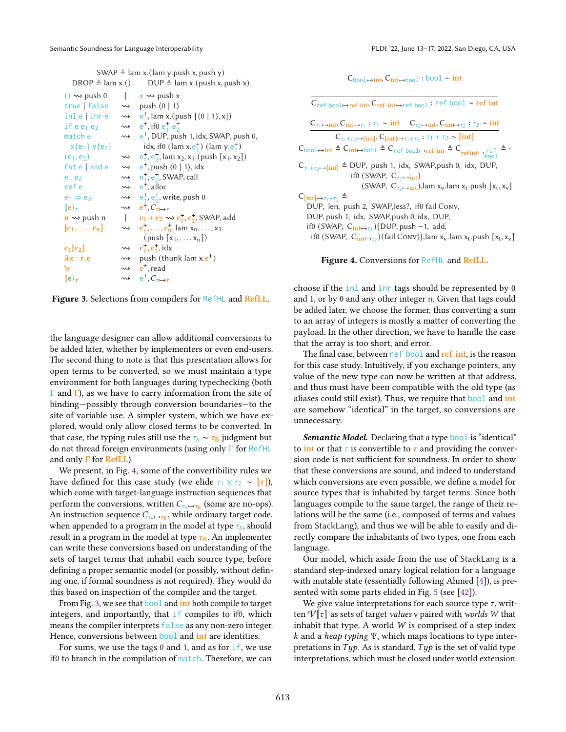<span id="page-4-0"></span>

|                                                            | SWAP $\triangleq$ lam x.(lam y.push x, push y) |
|------------------------------------------------------------|------------------------------------------------|
| $\mathsf{DPOD} \triangleq \mathsf{l}_{2m} \vee \mathsf{A}$ | $DID \triangle$ lam y (puch y puch y)          |

| $D\text{N}\cup\text{F} = \text{I}\text{d}\text{III}$ X.( ) | $DUT = I$ ani x.(pusn x, pusn x)                                                          |
|------------------------------------------------------------|-------------------------------------------------------------------------------------------|
| $() \rightsquigarrow$ push 0                               | $\mathsf{X} \rightsquigarrow \mathsf{push} \mathsf{x}$                                    |
| true false $\rightsquigarrow$                              | push $\langle 0   1 \rangle$                                                              |
| inl e   inr e                                              | $\rightarrow \rightarrow e^+$ , lam x.(push $\left[\langle 0   1 \rangle, x\right]$ )     |
| if $e e_1 e_2$                                             | $\rightarrow$ e <sup>+</sup> , if 0 e <sup>+</sup> e <sup>+</sup>                         |
| match e                                                    | → e <sup>+</sup> , DUP, push 1, idx, SWAP, push 0,                                        |
| $x{e_1}y{e_2}$                                             | idx, if0 (lam x.e <sup>+</sup> ) (lam y.e <sup>+</sup> )                                  |
| $(e_1, e_2)$                                               | $\rightarrow e_1^+, e_2^+, \text{lam } x_2, x_1. (\text{push } [x_1, x_2])$               |
| $f$ ste $\vert$ snd e                                      | $\rightarrow \bullet e^+$ , push $\langle 0   1 \rangle$ , idx                            |
| $e_1$ $e_2$                                                | $\rightsquigarrow$ e <sup>+</sup> <sub>1</sub> , e <sup>+</sup> <sub>2</sub> , SWAP, call |
| ref e                                                      | $\rightsquigarrow$ e <sup>+</sup> , alloc                                                 |
| $e_1 := e_2$                                               | $\rightarrow \quad e_1^+, e_2^+,$ write, push 0                                           |
| $(\mathbf{e})_{\tau}$                                      | $\rightsquigarrow$ e <sup>+</sup> , $C_{\tau \mapsto \tau}$                               |
| $\mathbf{n} \rightsquigarrow$ push n                       | $e_1 + e_2 \rightsquigarrow e_1^+, e_2^+,$ SWAP, add                                      |
| $[e_1, \ldots, e_n]$                                       | $\rightsquigarrow$ $e_1^{\dagger}, \dots, e_n^{\dagger}$ , lam $x_n, \dots, x_1$ .        |
|                                                            | $(push   x_1, \ldots, x_n )$                                                              |
| $e_1$ [ $e_2$ ]                                            | $\rightsquigarrow$ $e_1^+, e_2^+, idx$                                                    |
| $\lambda x : \tau.e$                                       | $\rightsquigarrow$ push (thunk lam x.e <sup>+</sup> )                                     |
| !e                                                         | $\rightsquigarrow$ $e^+$ , read                                                           |
| (e) $_\tau$                                                | $\rightsquigarrow$ $e^+$ , $C_{\tau \mapsto \tau}$                                        |
|                                                            |                                                                                           |

Figure 3. Selections from compilers for RefHL and RefLL.

the language designer can allow additional conversions to be added later, whether by implementers or even end-users. The second thing to note is that this presentation allows for open terms to be converted, so we must maintain a type environment for both languages during typechecking (both  $Γ$  and  $Γ$ ), as we have to carry information from the site of binding—possibly through conversion boundaries—to the site of variable use. A simpler system, which we have explored, would only allow closed terms to be converted. In that case, the typing rules still use the  $\tau_A \sim \tau_B$  judgment but do not thread foreign environments (using only Γ for RefHL and only  $\Gamma$  for **RefLL**).

We present, in Fig. [4,](#page-4-1) some of the convertibility rules we have defined for this case study (we elide  $\tau_1 \times \tau_2 \sim [\tau]$ ), which come with target-language instruction sequences that perform the conversions, written  $C_{\tau_A \mapsto \tau_B}$  (some are no-ops). An instruction sequence  $C_{\tau_\mathbb{A} \mapsto \tau_\mathbb{B}}$ , while ordinary target code, when appended to a program in the model at type  $\tau_A$ , should result in a program in the model at type  $\tau_{\rm B}$ . An implementer can write these conversions based on understanding of the sets of target terms that inhabit each source type, before defining a proper semantic model (or possibly, without defining one, if formal soundness is not required). They would do this based on inspection of the compiler and the target.

From Fig. [3,](#page-4-0) we see that **bool** and **int** both compile to target integers, and importantly, that if compiles to if0, which means the compiler interprets false as any non-zero integer. Hence, conversions between bool and int are identities.

For sums, we use the tags  $0$  and  $1$ , and as for if, we use if0 to branch in the compilation of match. Therefore, we can  $\overline{C_{\text{bool}\rightarrow \text{int}}$ ,  $\overline{C_{\text{int}\rightarrow \text{bool}}$  : bool ∼ int

<span id="page-4-1"></span>Cref bool↦→ref int, Cref int↦→ref bool : ref bool ∼ ref int  $C_{\tau_1 \mapsto \text{int}}$ ,  $C_{\text{int} \mapsto \tau_1}$  :  $\tau_1 \sim \text{int}$   $C_{\tau_2 \mapsto \text{int}}$ ,  $C_{\text{int} \mapsto \tau_2}$  :  $\tau_2 \sim \text{int}$  $C_{\tau_1+\tau_2\mapsto[\text{int}]}$ ,  $C_{\text{int}}$  $\mapsto_{\tau_1+\tau_2}$ :  $\tau_1+\tau_2\sim[\text{int}]$  $C_{\text{bool}\mapsto\text{int}} \triangleq C_{\text{int}\mapsto\text{bool}} \triangleq C_{\text{ref}}$  bool→→ref int  $\triangleq C_{\text{ref-int}\mapsto\text{mod}}$   $\triangleq$ .  $C_{\tau_1+\tau_2\mapsto}$ [int]  $\triangleq$  DUP, push 1, idx, SWAP,push 0, idx, DUP, if0 (SWAP,  $C_{\tau_1 \mapsto \text{int}}$ ) (SWAP,  $C_{\tau_2 \mapsto \text{int}}$ ),lam x<sub>v</sub>.lam x<sub>t</sub>.push [x<sub>t</sub>, x<sub>v</sub>]  $C_{\left[ \text{int} \right] \mapsto \tau_1 + \tau_2} \triangleq$ DUP, len, push 2, SWAP,less?, if0 fail Conv, DUP, push 1, idx, SWAP,push 0, idx, DUP, if0 (SWAP, C<sub>int→τ1</sub>)(DUP, push –1, add, if0 (SWAP,  $C_{int\mapsto \tau_2}$ )(fail Conv)),lam x<sub>v</sub>.lam x<sub>t</sub>.push [x<sub>t</sub>, x<sub>v</sub>]

Figure 4. Conversions for RefHL and RefLL.

choose if the inl and inr tags should be represented by 0 and 1, or by 0 and any other integer n. Given that tags could be added later, we choose the former, thus converting a sum to an array of integers is mostly a matter of converting the payload. In the other direction, we have to handle the case that the array is too short, and error.

The final case, between ref bool and ref int, is the reason for this case study. Intuitively, if you exchange pointers, any value of the new type can now be written at that address, and thus must have been compatible with the old type (as aliases could still exist). Thus, we require that bool and int are somehow "identical" in the target, so conversions are unnecessary.

Semantic Model. Declaring that a type bool is "identical" to int or that  $\tau$  is convertible to  $\tau$  and providing the conversion code is not sufficient for soundness. In order to show that these conversions are sound, and indeed to understand which conversions are even possible, we define a model for source types that is inhabited by target terms. Since both languages compile to the same target, the range of their relations will be the same (i.e., composed of terms and values from StackLang), and thus we will be able to easily and directly compare the inhabitants of two types, one from each language.

Our model, which aside from the use of StackLang is a standard step-indexed unary logical relation for a language with mutable state (essentially following Ahmed [\[4\]](#page-14-11)), is presented with some parts elided in Fig. [5](#page-6-0) (see [\[42\]](#page-15-13)).

We give value interpretations for each source type  $\tau$ , written  $V[\![\tau]\!]$  as sets of target values v paired with worlds W that inhabit that type. A world  $W$  is comprised of a step index k and a heap typing Ψ, which maps locations to type interpretations in  $Type$ . As is standard,  $Type$  is the set of valid type interpretations, which must be closed under world extension.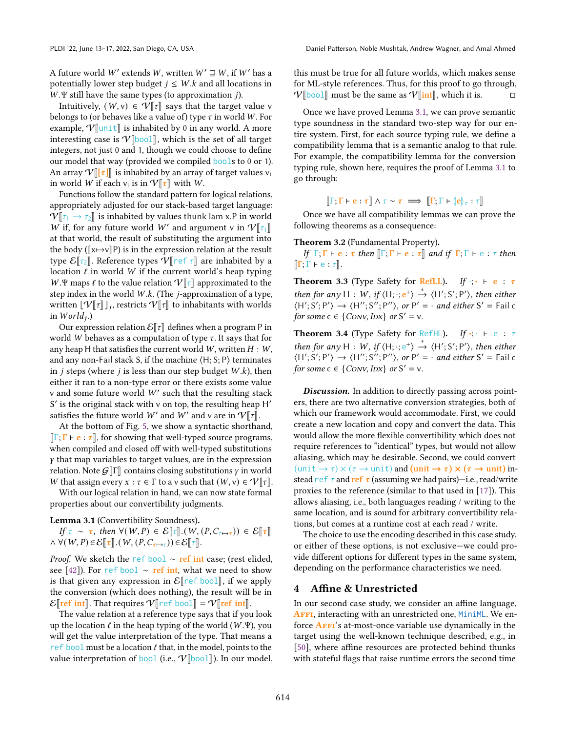Intuitively,  $(W, v) \in \mathcal{V}[\![\tau]\!]$  says that the target value v belongs to (or behaves like a value of) type  $\tau$  in world W. For example,  $V$ [unit] is inhabited by 0 in any world. A more interesting case is  $V[\text{bool}]$ , which is the set of all target integers, not just 0 and 1, though we could choose to define our model that way (provided we compiled bools to 0 or 1). An array  $V[[\tau]]$  is inhabited by an array of target values  $v_i$ in world *W* if each  $v_i$  is in  $V[\tau]$  with *W*.<br>Functions follow the standard pattern for

Functions follow the standard pattern for logical relations, appropriately adjusted for our stack-based target language:  $V[\tau_1 \rightarrow \tau_2]$  is inhabited by values thunk lam x.P in world W if, for any future world W' and argument v in  $V[\![\tau_1]\!]$  at that world the result of substituting the argument into at that world, the result of substituting the argument into the body ( $[x \mapsto v]$ P) is in the expression relation at the result type  $\mathcal{E}[\tau_2]$ . Reference types  $\mathcal{V}[\tau]$  are inhabited by a location  $\ell$  in world W if the current world's heap typing W.Ψ maps  $\ell$  to the value relation  $\mathcal{V}[\tau]$  approximated to the step index in the world  $W.k$ . (The *j*-approximation of a type, written  $[\mathcal{V}[[\tau]]_j]$ , restricts  $\mathcal{V}[[\tau]]$  to inhabitants with worlds in  $World_i$ .)

Our expression relation  $\mathcal{E}[\![\tau]\!]$  defines when a program P in world W behaves as a computation of type  $\tau$ . It says that for any heap H that satisfies the current world  $W$ , written  $H : W$ , and any non-Fail stack S, if the machine  $\langle H; S; P \rangle$  terminates in *j* steps (where *j* is less than our step budget  $W.k$ ), then either it ran to a non-type error or there exists some value v and some future world  $W'$  such that the resulting stack S' is the original stack with v on top, the resulting heap H' satisfies the future world W' and W' and v are in  $V[\![\tau]\!]$ .

At the bottom of Fig. [5,](#page-6-0) we show a syntactic shorthand,  $\Vert \Gamma; \Gamma \vdash e : \tau \Vert$ , for showing that well-typed source programs, when compiled and closed off with well-typed substitutions  $y$  that map variables to target values, are in the expression relation. Note  $G[\![\Gamma]\!]$  contains closing substitutions  $\gamma$  in world W that assign every  $x : \tau \in \Gamma$  to a v such that  $(W, v) \in \mathcal{V}[\![\tau]\!]$ .

With our logical relation in hand, we can now state formal properties about our convertibility judgments.

<span id="page-5-1"></span>Lemma 3.1 (Convertibility Soundness).

If  $\tau \sim \tau$ , then  $\forall (W, P) \in \mathcal{E}[\tau] \cdot (W, (P, C_{\tau \mapsto \tau})) \in \mathcal{E}[\tau]$  $\wedge \forall (W, P) \in \mathcal{E}[\![\tau]\!].(W, (P, C_{\tau \mapsto \tau})) \in \mathcal{E}[\![\tau]\!].$ 

*Proof.* We sketch the ref bool ∼ ref int case; (rest elided, see [\[42\]](#page-15-13)). For ref bool ∼ ref int, what we need to show is that given any expression in  $\mathcal{E}$ [ref bool], if we apply the conversion (which does nothing), the result will be in  $\mathcal{E}$  ref int  $\mathbb{R}$ . That requires  $\mathcal{V}$  ref bool  $\mathbb{R} = \mathcal{V}$  ref int  $\mathbb{R}$ .

The value relation at a reference type says that if you look up the location  $\ell$  in the heap typing of the world (W.Ψ), you will get the value interpretation of the type. That means a ref bool must be a location  $\ell$  that, in the model, points to the value interpretation of bool (i.e.,  $V[\text{bool}]$ ). In our model, this must be true for all future worlds, which makes sense for ML-style references. Thus, for this proof to go through,  $V[\text{bool}]$  must be the same as  $V[\text{int}]$ , which it is. □

Once we have proved Lemma [3.1,](#page-5-1) we can prove semantic type soundness in the standard two-step way for our entire system. First, for each source typing rule, we define a compatibility lemma that is a semantic analog to that rule. For example, the compatibility lemma for the conversion typing rule, shown here, requires the proof of Lemma [3.1](#page-5-1) to go through:

 $\llbracket \Gamma;\Gamma\vdash e:\tau\rrbracket \wedge \tau \sim \tau \implies \llbracket \Gamma;\Gamma\vdash (e)\!\!\!\vert_{\tau}:\tau\rrbracket$ 

Once we have all compatibility lemmas we can prove the following theorems as a consequence:

<span id="page-5-2"></span>Theorem 3.2 (Fundamental Property).

If  $\Gamma; \Gamma \vdash e : \tau$  then  $\lbrack \Gamma; \Gamma \vdash e : \tau \rbrack$  and if  $\Gamma; \Gamma \vdash e : \tau$  then  $\llbracket \Gamma;\Gamma\vdash e:\tau\rrbracket.$ 

<span id="page-5-3"></span>**Theorem 3.3** (Type Safety for RefLL). If  $\cdot \cdot \cdot \cdot$  e :  $\tau$ then for any H : W, if  $\langle H; \cdot; e^+ \rangle \stackrel{*}{\rightarrow} \langle H'; S'; P' \rangle$ , then either  $\langle H', S', P' \rangle \rightarrow \langle H'', S''; P'' \rangle$ , or  $P' = \cdot$  and either  $S' =$  Fail c for some  $c \in \{Conv, IDX\}$  or  $S' = v$ .

<span id="page-5-4"></span>Theorem 3.4 (Type Safety for RefHL). If  $\cdot$ ;  $\cdot$   $\cdot$   $\cdot$   $\cdot$   $\cdot$   $\tau$ then for any H : W, if  $\langle H; \cdot; e^+ \rangle \stackrel{*}{\rightarrow} \langle H'; S'; P' \rangle$ , then either  $\langle H'; S'; P'\rangle \rightarrow \langle H''; S''; P''\rangle$ , or  $P' = \cdot$  and either  $S' =$  Fail c for some  $c \in \{Conv, IDX\}$  or  $S' = v$ .

Discussion. In addition to directly passing across pointers, there are two alternative conversion strategies, both of which our framework would accommodate. First, we could create a new location and copy and convert the data. This would allow the more flexible convertibility which does not require references to "identical" types, but would not allow aliasing, which may be desirable. Second, we could convert (unit  $\rightarrow \tau$ )  $\times$  ( $\tau \rightarrow$  unit) and (unit  $\rightarrow \tau$ )  $\times$  ( $\tau \rightarrow$  unit) instead ref  $\tau$  and ref  $\tau$  (assuming we had pairs)—i.e., read/write proxies to the reference (similar to that used in [\[17\]](#page-14-9)). This allows aliasing, i.e., both languages reading / writing to the same location, and is sound for arbitrary convertibility relations, but comes at a runtime cost at each read / write.

The choice to use the encoding described in this case study, or either of these options, is not exclusive—we could provide different options for different types in the same system, depending on the performance characteristics we need.

# <span id="page-5-0"></span>4 Affine & Unrestricted

In our second case study, we consider an affine language, AFFI, interacting with an unrestricted one, MiniML. We enforce **AFFI**'s at-most-once variable use dynamically in the target using the well-known technique described, e.g., in [\[50\]](#page-15-8), where affine resources are protected behind thunks with stateful flags that raise runtime errors the second time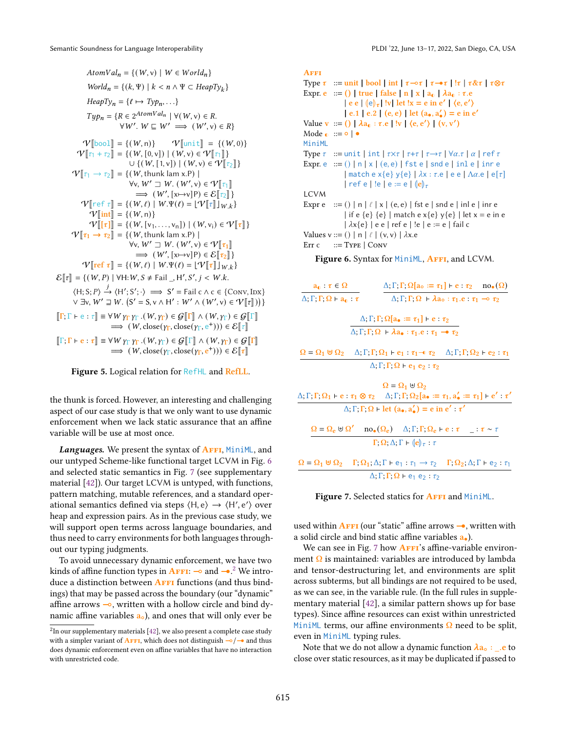<span id="page-6-0"></span> $AtomVal_n = \{(W, v) | W \in World_n\}$  $World_n = \{(k, \Psi) \mid k < n \land \Psi \subset \text{HeapTy}_k\}$  $HeapTy_n = \{\ell \mapsto Type_n, \ldots\}$  $Type_n = \{ R \in 2^{AtomVal_n} \mid \forall (W, v) \in R.$  $\forall W'$ .  $W \sqsubseteq W' \implies (W', v) \in R$  $V[\text{bool}] = {(W, n)} \qquad V[\text{unit}] = {(W, 0)}$ <br> $V[\text{unit}] = {(W, 0)}$  $\mathcal{V}[\![\tau_1 + \tau_2]\!] = \{ (W, [0, v]) \mid (W, v) \in \mathcal{V}[\![\tau_1]\!] \}$  $\cup \{ (W, [1, v]) \mid (W, v) \in \mathcal{V}[\![\tau_2]\!] \}$  $\mathcal{V}[\![\tau_1 \rightarrow \tau_2]\!] = \{(W, \text{thunk lam x.P})\! \mid$  $\forall$ v,  $W' \sqsupseteq W$ .  $(W', v) \in \mathcal{V}[[\tau_1]]$ <br> $\longrightarrow (W'$ ,  $[v]$ ,  $v$ <sup>1</sup> $v$ )  $\in \mathcal{S}[[\tau_1]]$  $\Rightarrow$   $(W', [x \mapsto v]P) \in \mathcal{E}[[\tau_2]]$ <br>  $W \in \mathcal{E}[[x, v]]$  $V$ [ref  $\tau$ ] = { $(W, \ell)$  |  $W.\Psi(\ell) = [\Psi] \tau$ ] $_{W,k}$ }  $V$ [int] = {(W, n)}  $V[[\tau]] = \{ (W, [v_1, \ldots, v_n]) \mid (W, v_i) \in V[[\tau]] \}$  $V[\tau_1 \rightarrow \tau_2] = \{(W, \text{thunk lam x.P})\}$  $\forall$ v,  $W' \sqsupseteq W$ .  $(W', v) \in \mathcal{V}[\![\tau_1]\!]$ <br> $\longrightarrow (W'$ ,  $[v]$ ,  $v$ <sup>1</sup> $) \in \mathcal{S}[\![\tau_1]\!]$  $\Rightarrow$   $(W', [x \mapsto v]P) \in \mathcal{E}[\[tau_2]\]$ <br>  $W \in \mathcal{W} \cup \mathcal{W} \cup \mathcal{W} \cup \{v\} = \{W, [\tau_1], \ldots\}$  $V[\text{ref } \tau] = \{ (W, \ell) \mid W.\Psi(\ell) = \lfloor V[\![\tau]\!] \rfloor_{W.k} \}$  $\mathcal{E}[\![\tau]\!] = \{ (W, P) \mid \forall H : W, S \neq \text{Fall } H', S', j < W. k.$  $\langle H; S; P \rangle \xrightarrow{j} \langle H'; S'; \cdot \rangle \implies S' = \text{fail } c \land c \in \{\text{Conv}, \text{Inx}\}\$  $\forall \exists v, W' \sqsupseteq W$ .  $(S' = S, v \wedge H' : W' \wedge (W', v) \in \mathcal{V}[[\tau]])$  $\llbracket \Gamma;\Gamma\vdash e:\tau\rrbracket\equiv \forall W\gamma_{\Gamma}\gamma_{\Gamma}.(W,\gamma_{\Gamma})\in\mathcal{G}(\llbracket \Gamma\rrbracket\wedge(W,\gamma_{\Gamma})\in\mathcal{G}(\llbracket \Gamma\rrbracket$  $\Rightarrow$   $(W, \text{close}(Y_{\Gamma}, \text{close}(Y_{\Gamma}, e^+))) \in \mathcal{E}[[\tau]]$  $\llbracket \Gamma;\Gamma\vdash e:\tau\rrbracket\equiv \forall W\gamma_{\Gamma}\gamma_{\Gamma}.(W,\gamma_{\Gamma})\in\mathcal{G}\llbracket \Gamma\rrbracket\wedge(W,\gamma_{\Gamma})\in\mathcal{G}\llbracket \Gamma\rrbracket$  $\Rightarrow$   $(W, \text{close}(y_{\Gamma}, \text{close}(y_{\Gamma}, e^+))) \in \mathcal{E}[[\tau]]$ 

Figure 5. Logical relation for RefHL and RefLL.

the thunk is forced. However, an interesting and challenging aspect of our case study is that we only want to use dynamic enforcement when we lack static assurance that an affine variable will be use at most once.

Languages. We present the syntax of AFFI, MiniML, and our untyped Scheme-like functional target LCVM in Fig. [6](#page-6-1) and selected static semantics in Fig. [7](#page-6-2) (see supplementary material [\[42\]](#page-15-13)). Our target LCVM is untyped, with functions, pattern matching, mutable references, and a standard operational semantics defined via steps  $\langle H, e \rangle \rightarrow \langle H', e' \rangle$  over heap and expression pairs. As in the previous case study, we will support open terms across language boundaries, and thus need to carry environments for both languages throughout our typing judgments.

To avoid unnecessary dynamic enforcement, we have two kinds of affine function types in **AFFI:**  $\rightarrow$  and  $\rightarrow$  <sup>[2](#page-6-3)</sup> We introduce a distinction between  $A$ FFI functions (and thus bindings) that may be passed across the boundary (our "dynamic" affine arrows ⊸, written with a hollow circle and bind dynamic affine variables  $a<sub>o</sub>$ ), and ones that will only ever be

<span id="page-6-1"></span>**AFFI** Type  $\tau$  ::= unit | bool | int |  $\tau \rightarrow \tau$  |  $\tau \rightarrow \tau$  |  $! \tau \rightarrow \tau \tau$  |  $\tau \otimes \tau$ Expr. e ::= () | true | false | n | x | a<sub>0</sub> |  $\lambda$ a<sub>0</sub> :  $\tau$ .e  $\left| \begin{array}{c} e \ e \end{array} \right| \left( \begin{array}{c} e \end{array} \right) \right|$  ly let  $\left| x = e \text{ in } e' \right| \left( e, e' \right)$  $| e.1 | e.2 | (e, e) |$  let  $(a_*, a'_*) = e$  in e' Value v ::= () |  $\lambda a_0 : \tau.e$  | !v |  $\langle e, e' \rangle$  |  $(v, v')$ Mode  $\bullet$  ::=  $\circ$  |  $\bullet$ MiniML Type  $\tau$  := unit | int |  $\tau \times \tau$  |  $\tau + \tau$  |  $\tau \to \tau$  |  $\forall \alpha.\tau$  |  $\alpha$  | ref  $\tau$ Expr. e  $:= () | n | x | (e, e) |$  fst e | snd e | inl e | inr e  $\left| \right.$  match e x{e} y{e}  $\left| \right. \lambda x : \tau.e \left| \right.$  e e  $\left| \right. \Lambda \alpha.e \left| \right.$  e  $\left[ \tau \right]$ | ref e | !e | e := e |  $\langle e \rangle_{\tau}$ LCVM Expr e  $:= ( ) | n | \ell | x | (e,e) |$  fst e | snd e | inl e | inr e | if e {e} {e} | match e x{e} y{e} | let x = e in e  $|\lambda x\{e\}|$  | e e | ref e | !e | e := e | fail c Values v ::= () | n |  $\ell$  | (v, v) |  $\lambda$ x.e Err c  $::=$  Type  $|$  Conv

Figure 6. Syntax for MiniML, AFFI, and LCVM.

<span id="page-6-2"></span>

| $a_0: \tau \in \Omega$                                                                                                                                                         |                                                                                                                                 | $\Delta; \Gamma; \Gamma; \Omega$ [a <sub>o</sub> := $\tau_1$ ] + e : $\tau_2$ no. ( $\Omega$ )   |
|--------------------------------------------------------------------------------------------------------------------------------------------------------------------------------|---------------------------------------------------------------------------------------------------------------------------------|--------------------------------------------------------------------------------------------------|
| $\Delta$ ; $\Gamma$ ; $\Gamma$ ; $\Omega$ + $a_0$ : $\tau$                                                                                                                     |                                                                                                                                 | $\Delta; \Gamma; \Gamma; \Omega \vdash \lambda a_{0} : \tau_{1}.e : \tau_{1} \multimap \tau_{2}$ |
|                                                                                                                                                                                | $\Delta; \Gamma; \Gamma; \Omega[a_{\bullet} := \tau_1] \vdash e : \tau_2$                                                       |                                                                                                  |
|                                                                                                                                                                                | $\Delta: \Gamma: \Gamma$ ; $\Omega$ + $\lambda$ a. $\tau_1$ . $\tau_1$ $\rightarrow$ $\tau_2$                                   |                                                                                                  |
| $\Omega = \Omega_1 \boxplus \Omega_2 \quad \Delta; \Gamma; \Gamma; \Omega_1 \vdash e_1 : \tau_1 \rightarrow \tau_2 \quad \Delta; \Gamma; \Gamma; \Omega_2 \vdash e_2 : \tau_1$ |                                                                                                                                 |                                                                                                  |
|                                                                                                                                                                                | $\Delta$ ; $\Gamma$ ; $\Omega$ + e <sub>1</sub> e <sub>2</sub> : $\tau_2$                                                       |                                                                                                  |
| $\Delta; \Gamma; \Gamma; \Omega_1 \vdash e : \tau_1 \otimes \tau_2 \quad \Delta; \Gamma; \Gamma; \Omega_2[a_{\bullet} := \tau_1, a'_{\bullet} := \tau_1] \vdash e' : \tau'$    | $\Omega = \Omega_1 \uplus \Omega_2$                                                                                             |                                                                                                  |
|                                                                                                                                                                                | $\Delta$ ; $\Gamma$ ; $\Gamma$ ; $\Omega$ + let $(a_{\bullet}, a'_{\bullet}) = e$ in $e'$ : $\tau'$                             |                                                                                                  |
|                                                                                                                                                                                | $\Omega = \Omega_e \uplus \Omega'$ no. $(\Omega_e)$ $\Delta$ ; $\Gamma$ ; $\Gamma$ ; $\Omega_e$ + e : $\tau$ : $\tau \sim \tau$ |                                                                                                  |
|                                                                                                                                                                                | $\Gamma$ ; $\Omega$ ; $\Delta$ ; $\Gamma$ + $\langle e \rangle_{\tau}$ : $\tau$                                                 |                                                                                                  |
| $\Omega = \Omega_1 \uplus \Omega_2$ $\Gamma; \Omega_1; \Delta; \Gamma \vdash e_1 : \tau_1 \rightarrow \tau_2$ $\Gamma; \Omega_2; \Delta; \Gamma \vdash e_2 : \tau_1$           |                                                                                                                                 |                                                                                                  |

 $\Delta$ ; Γ; Γ; Ω + e<sub>1</sub> e<sub>2</sub> :  $\tau_2$ 

Figure 7. Selected statics for AFFI and MiniML.

used within  $\overline{AFH}$  (our "static" affine arrows  $\rightarrow$ , written with a solid circle and bind static affine variables a•).

We can see in Fig. [7](#page-6-2) how  $A$ FFI's affine-variable environment Ω is maintained: variables are introduced by lambda and tensor-destructuring let, and environments are split across subterms, but all bindings are not required to be used, as we can see, in the variable rule. (In the full rules in supplementary material [\[42\]](#page-15-13), a similar pattern shows up for base types). Since affine resources can exist within unrestricted MiniML terms, our affine environments  $\Omega$  need to be split, even in MiniML typing rules.

Note that we do not allow a dynamic function  $\lambda a_0$ : .e to close over static resources, as it may be duplicated if passed to

<span id="page-6-3"></span> $^{2}$ In our supplementary materials [\[42\]](#page-15-13), we also present a complete case study with a simpler variant of AFFI, which does not distinguish  $\frac{1}{2}$  and thus does dynamic enforcement even on affine variables that have no interaction with unrestricted code.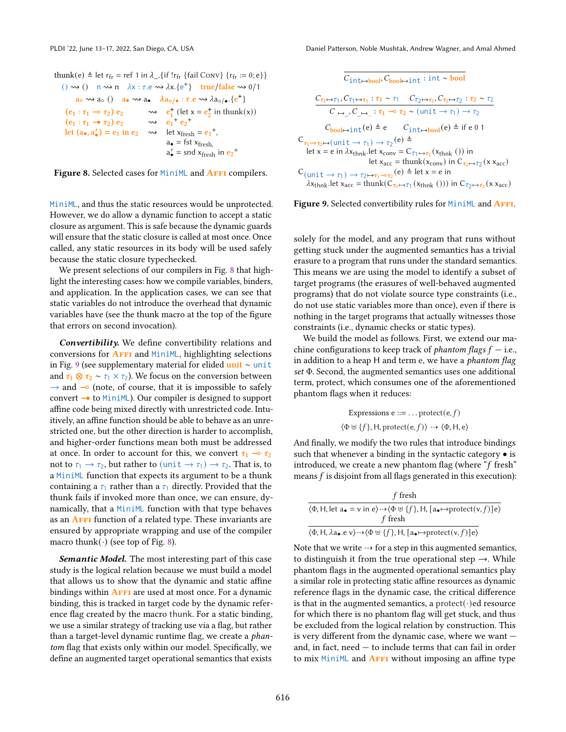<span id="page-7-0"></span>thunk(e)  $\triangleq$  let r<sub>fr</sub> = ref 1 in  $\lambda$ <sub>-1</sub>. {if !r<sub>fr</sub> {fail Conv} {r<sub>fr</sub> := 0; e}} ()  $\rightsquigarrow$  ()  $\mod n$   $\lambda x : \tau \cdot e \rightsquigarrow \lambda x.\{e^+\}$  true/false  $\rightsquigarrow$  0/1  $a_0 \rightsquigarrow a_0$  ()  $a_0 \rightsquigarrow a_0$   $\lambda a_0 / (a \cdot \tau \cdot e \rightsquigarrow \lambda a_0 / (e^+)$ (e<sup>1</sup> : <sup>1</sup> ⊸ 2) e<sup>2</sup> ⇝ e + 1 (let x = e + 2 in thunk(x)) + +  $(e_1 : \tau_1 \rightarrow \tau_2) e_2 \longrightarrow e_1^+ e_2$ let  $(a_{\bullet}, a'_{\bullet}) = e_1$  in  $e_2 \longrightarrow \text{let } x_{\text{fresh}} = e_1^+,$  $a_{\bullet}$  = fst  $x_{\text{fresh}}$  $a'_\bullet$  = snd x<sub>fresh</sub> in  $e_2^+$ 

Figure 8. Selected cases for MiniML and **AFFI** compilers.

MiniML, and thus the static resources would be unprotected. However, we do allow a dynamic function to accept a static closure as argument. This is safe because the dynamic guards will ensure that the static closure is called at most once. Once called, any static resources in its body will be used safely because the static closure typechecked.

We present selections of our compilers in Fig. [8](#page-7-0) that highlight the interesting cases: how we compile variables, binders, and application. In the application cases, we can see that static variables do not introduce the overhead that dynamic variables have (see the thunk macro at the top of the figure that errors on second invocation).

Convertibility. We define convertibility relations and conversions for **AFFI** and MiniML, highlighting selections in Fig. [9](#page-7-1) (see supplementary material for elided unit ∼ unit and  $\tau_1 \otimes \tau_2 \sim \tau_1 \times \tau_2$ ). We focus on the conversion between  $\rightarrow$  and  $\rightarrow$  (note, of course, that it is impossible to safely convert  $\rightarrow$  to MiniML). Our compiler is designed to support affine code being mixed directly with unrestricted code. Intuitively, an affine function should be able to behave as an unrestricted one, but the other direction is harder to accomplish, and higher-order functions mean both must be addressed at once. In order to account for this, we convert  $\tau_1 \rightarrow \tau_2$ not to  $\tau_1 \rightarrow \tau_2$ , but rather to (unit  $\rightarrow \tau_1$ )  $\rightarrow \tau_2$ . That is, to a MiniML function that expects its argument to be a thunk containing a  $\tau_1$  rather than a  $\tau_1$  directly. Provided that the thunk fails if invoked more than once, we can ensure, dynamically, that a MiniML function with that type behaves as an **AFFI** function of a related type. These invariants are ensured by appropriate wrapping and use of the compiler macro thunk( $\cdot$ ) (see top of Fig. [8\)](#page-7-0).

Semantic Model. The most interesting part of this case study is the logical relation because we must build a model that allows us to show that the dynamic and static affine bindings within **AFFI** are used at most once. For a dynamic binding, this is tracked in target code by the dynamic reference flag created by the macro thunk. For a static binding, we use a similar strategy of tracking use via a flag, but rather than a target-level dynamic runtime flag, we create a phantom flag that exists only within our model. Specifically, we define an augmented target operational semantics that exists

<span id="page-7-1"></span>
$$
\overline{C_{int\mapsto bool}, C_{bool\mapsto int}: int\sim bool} \\[1mm] \frac{C_{\tau_1\mapsto \tau_1}, C_{\tau_1\mapsto \tau_1} : \tau_1\sim \tau_1 \quad C_{\tau_2\mapsto \tau_2}, C_{\tau_2\mapsto \tau_2} : \tau_2\sim \tau_2}{C_{\mapsto}\_S C_{\mapsto}\_ : \tau_1\multimap \tau_2\sim (unit\to \tau_1)\to \tau_2} \\[1mm] \frac{C_{bool\mapsto int}(e) \triangleq e \quad C_{int\mapsto bool}(e) \triangleq if\ e\ 0\ 1} \\[1mm] \frac{C_{\tau_1\multimap \tau_2\mapsto (unit\to \tau_1)\to \tau_2}(e) \triangleq}{let\ x = e\ in\ \lambda x_{thnk}.let\ x_{conv} = C_{\tau_1\mapsto \tau_1}(x_{thnk}\,())\ in\ \\let\ x_{acc} = thunk(x_{conv})\ in\ C_{\tau_2\mapsto \tau_2}(x\ x_{acc}) \\[1mm] \frac{C_{(unit\to \tau_1)\to \tau_2\mapsto \tau_1\multimap \tau_2}(e) \triangleq let\ x = e\ in\ \\ \lambda x_{thnk}.let\ x_{acc} = thunk(C_{\tau_1\mapsto \tau_1}(x_{thnk}\,())\ )\ in\ C_{\tau_2\mapsto \tau_2}(x\ x_{acc})
$$

#### Figure 9. Selected convertibility rules for MiniML and AFFI.

solely for the model, and any program that runs without getting stuck under the augmented semantics has a trivial erasure to a program that runs under the standard semantics. This means we are using the model to identify a subset of target programs (the erasures of well-behaved augmented programs) that do not violate source type constraints (i.e., do not use static variables more than once), even if there is nothing in the target programs that actually witnesses those constraints (i.e., dynamic checks or static types).

We build the model as follows. First, we extend our machine configurations to keep track of *phantom flags*  $f$  – i.e., in addition to a heap H and term e, we have a *phantom flag* set Φ. Second, the augmented semantics uses one additional term, protect, which consumes one of the aforementioned phantom flags when it reduces:

Expressions e ::= ... protect(e, f)  
⟨
$$
\Phi \uplus \{f\}
$$
, H, protect(e, f)⟩ → ⟨ $\Phi$ , H, e⟩

And finally, we modify the two rules that introduce bindings such that whenever a binding in the syntactic category • is introduced, we create a new phantom flag (where " $f$  fresh" means f is disjoint from all flags generated in this execution):

| f fresh                                                                                                                                                                   |
|---------------------------------------------------------------------------------------------------------------------------------------------------------------------------|
| $\langle \Phi, H \rangle$ , let $a_{\bullet} = v$ in e $\rangle \rightarrow \langle \Phi \uplus \{f\}, H \rangle$ , $[a_{\bullet} \mapsto \text{protect}(v, f)]e \rangle$ |
| f fresh                                                                                                                                                                   |
| $\langle \Phi, H, \lambda a_{\bullet} . e \nu \rangle \rightarrow \langle \Phi \uplus \{f\}, H, [a_{\bullet} \mapsto \text{protect}(v, f)]e \rangle$                      |

Note that we write  $\rightarrow$  for a step in this augmented semantics, to distinguish it from the true operational step  $\rightarrow$ . While phantom flags in the augmented operational semantics play a similar role in protecting static affine resources as dynamic reference flags in the dynamic case, the critical difference is that in the augmented semantics, a protect( $\cdot$ )ed resource for which there is no phantom flag will get stuck, and thus be excluded from the logical relation by construction. This is very different from the dynamic case, where we want and, in fact, need — to include terms that can fail in order to mix MiniML and  $A$ FFI without imposing an affine type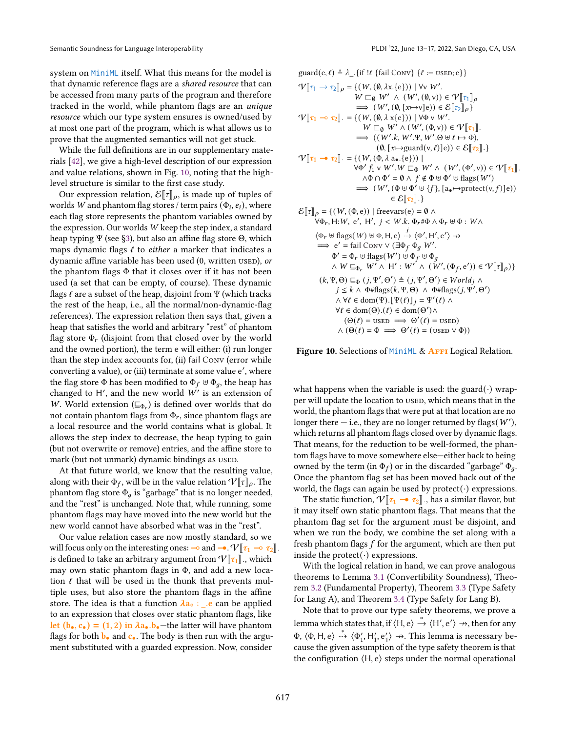system on MiniML itself. What this means for the model is that dynamic reference flags are a shared resource that can be accessed from many parts of the program and therefore tracked in the world, while phantom flags are an unique resource which our type system ensures is owned/used by at most one part of the program, which is what allows us to prove that the augmented semantics will not get stuck.

While the full definitions are in our supplementary materials [\[42\]](#page-15-13), we give a high-level description of our expression and value relations, shown in Fig. [10,](#page-8-0) noting that the highlevel structure is similar to the first case study.

Our expression relation,  $\mathcal{E}[\![\tau]\!]_\rho$ , is made up of tuples of worlds W and phantom flag stores / term pairs  $(\Phi_i, e_i)$ , where each flag store represents the phantom variables owned by the expression. Our worlds W keep the step index, a standard heap typing Ψ (see [§3\)](#page-3-0), but also an affine flag store Θ, which maps dynamic flags  $\ell$  to either a marker that indicates a dynamic affine variable has been used (0, written used), or the phantom flags  $\Phi$  that it closes over if it has not been used (a set that can be empty, of course). These dynamic flags  $\ell$  are a subset of the heap, disjoint from  $\Psi$  (which tracks the rest of the heap, i.e., all the normal/non-dynamic-flag references). The expression relation then says that, given a heap that satisfies the world and arbitrary "rest" of phantom flag store  $\Phi_r$  (disjoint from that closed over by the world and the owned portion), the term e will either: (i) run longer than the step index accounts for, (ii) fail Conv (error while converting a value), or (iii) terminate at some value e ′ , where the flag store  $\Phi$  has been modified to  $\Phi_f \uplus \Phi_q$ , the heap has changed to H', and the new world  $W'$  is an extension of W. World extension ( $\sqsubseteq_{\Phi_r}$ ) is defined over worlds that do not contain phantom flags from  $\Phi_r$ , since phantom flags are a local resource and the world contains what is global. It allows the step index to decrease, the heap typing to gain (but not overwrite or remove) entries, and the affine store to mark (but not unmark) dynamic bindings as used.

At that future world, we know that the resulting value, along with their  $\Phi_f$ , will be in the value relation  $V[[\tau]]_p$ . The phantom flag store  $\Phi_q$  is "garbage" that is no longer needed, and the "rest" is unchanged. Note that, while running, some phantom flags may have moved into the new world but the new world cannot have absorbed what was in the "rest".

Our value relation cases are now mostly standard, so we will focus only on the interesting ones: ⊸ and →.  $V[\![\tau_1 \multimap \tau_2]\!]$ is defined to take an arbitrary argument from  $V[\![\tau_1]\!]$ , which may own static phantom flags in Φ, and add a new location  $\ell$  that will be used in the thunk that prevents multiple uses, but also store the phantom flags in the affine store. The idea is that a function  $\lambda a_0$  : \_.e can be applied to an expression that closes over static phantom flags, like let  $(b_{\bullet}, c_{\bullet}) = (1, 2)$  in  $\lambda a_{\bullet}.b_{\bullet}$  -the latter will have phantom flags for both  $\mathbf{b}_\bullet$  and  $\mathbf{c}_\bullet$ . The body is then run with the argument substituted with a guarded expression. Now, consider

<span id="page-8-0"></span>guard(e, ℓ) ≜ \_.{if !ℓ {fail Conv} {ℓ := used; e}} <sup>V</sup>J<sup>1</sup> <sup>→</sup> 2K <sup>=</sup> {(W, (∅, x.{e})) <sup>|</sup> <sup>∀</sup><sup>v</sup> <sup>W</sup> ′ . <sup>W</sup> <sup>&</sup>lt;<sup>∅</sup> <sup>W</sup> ′ ∧ (<sup>W</sup> ′ , (∅, <sup>v</sup>)) ∈ VJ1K =⇒ (W ′ , (∅, [↦→v]e)) ∈ EJ2K } <sup>V</sup>J<sup>1</sup> <sup>⊸</sup> 2K· <sup>=</sup> {(W, (∅, <sup>x</sup>{e})) <sup>|</sup> <sup>∀</sup><sup>Φ</sup> <sup>v</sup> <sup>W</sup> ′ . <sup>W</sup> <sup>&</sup>lt;<sup>∅</sup> <sup>W</sup> ′ ∧ (<sup>W</sup> ′ , (Φ, <sup>v</sup>)) ∈ VJ1K· =⇒ ( (W ′ ., W ′ .Ψ, W ′ .Θ ⊎ ℓ ↦→ Φ), (∅, [↦→guard(v, ℓ)]e)) ∈ EJ2K·} <sup>V</sup>J<sup>1</sup> 2K· <sup>=</sup> {(W, (Φ, <sup>a</sup>•.{e})) <sup>|</sup> ∀Φ ′ f<sup>1</sup> v W ′ .<sup>W</sup> <sup>&</sup>lt;<sup>Φ</sup> <sup>W</sup> ′ ∧ (<sup>W</sup> ′ , (Φ ′ , <sup>v</sup>)) ∈ VJ1K· ∧Φ ∩ Φ ′ = ∅ ∧ f ∉ Φ ⊎ Φ ′ ⊎ flags(W ′ ) =⇒ (W ′ , (Φ ⊎ Φ ′ ⊎ {f }, [a•↦→protect(v, f )]e)) ∈ EJ2K·} <sup>E</sup>JK <sup>=</sup> {(W, (Φ, <sup>e</sup>)) <sup>|</sup> freevars(e) <sup>=</sup> ∅ ∧ ∀Φ, H:W, e ′ , H ′ , < W.. Φ #Φ ∧ Φ ⊎ Φ : W∧ ⟨Φ ⊎ flags(W) ⊎ Φ, H, e⟩ d ⟨Φ ′ , H ′ , e ′ ⟩ ↛ =⇒ e ′ = fail Conv ∨ (∃Φ Φ W ′ . Φ ′ = Φ ⊎ flags(W ′ ) ⊎ Φ ⊎ Φ ∧ W ⊑Φ W ′ ∧ H ′ : W ′ ∧ (W ′ , (Φ , e ′ )) ∈ VJK )} (, Ψ, Θ) ⊑<sup>Φ</sup> (, Ψ ′ , Θ ′ ) ≜ (, Ψ ′ , Θ ′ ) ∈ ∧ ≤ ∧ Φ#flags(, Ψ, Θ) ∧ Φ#flags(, Ψ ′ , Θ ′ ) ∧ ∀ℓ ∈ dom(Ψ).⌊Ψ(ℓ)⌋ = Ψ ′ (ℓ) ∧ ∀ℓ ∈ dom(Θ).(ℓ) ∈ dom(Θ ′ )∧ (Θ(ℓ) = used =⇒ Θ ′ (ℓ) = used) ∧ (Θ(ℓ) = Φ =⇒ Θ ′ (ℓ) = (used ∨ Φ))

Figure 10. Selections of MiniML & AFFI Logical Relation.

what happens when the variable is used: the guard $(\cdot)$  wrapper will update the location to used, which means that in the world, the phantom flags that were put at that location are no longer there  $-$  i.e., they are no longer returned by flags( $W'$ ), which returns all phantom flags closed over by dynamic flags. That means, for the reduction to be well-formed, the phantom flags have to move somewhere else—either back to being owned by the term (in  $\Phi_f$ ) or in the discarded "garbage"  $\Phi_g$ . Once the phantom flag set has been moved back out of the world, the flags can again be used by  $protect(\cdot)$  expressions.

The static function,  $V[\tau_1 - \tau_2]$ , has a similar flavor, but it may itself own static phantom flags. That means that the phantom flag set for the argument must be disjoint, and when we run the body, we combine the set along with a fresh phantom flags  $f$  for the argument, which are then put inside the protect( $\cdot$ ) expressions.

With the logical relation in hand, we can prove analogous theorems to Lemma [3.1](#page-5-1) (Convertibility Soundness), Theorem [3.2](#page-5-2) (Fundamental Property), Theorem [3.3](#page-5-3) (Type Safety for Lang A), and Theorem [3.4](#page-5-4) (Type Safety for Lang B).

Note that to prove our type safety theorems, we prove a lemma which states that, if  $\langle H, e \rangle \stackrel{*}{\rightarrow} \langle H', e' \rangle \rightarrow$ , then for any  $\Phi$ ,  $\langle \Phi, \mathsf{H}, \mathsf{e} \rangle \rightarrow \langle \Phi'_1, \mathsf{H}'_1, \mathsf{e}'_1 \rangle \rightarrow$ . This lemma is necessary because the given assumption of the type safety theorem is that the configuration  $(H, e)$  steps under the normal operational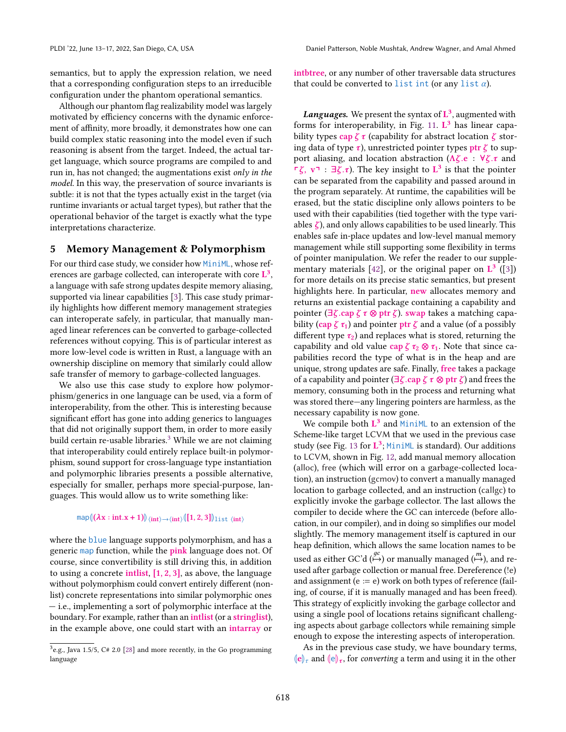semantics, but to apply the expression relation, we need that a corresponding configuration steps to an irreducible configuration under the phantom operational semantics.

Although our phantom flag realizability model was largely motivated by efficiency concerns with the dynamic enforcement of affinity, more broadly, it demonstrates how one can build complex static reasoning into the model even if such reasoning is absent from the target. Indeed, the actual target language, which source programs are compiled to and run in, has not changed; the augmentations exist only in the model. In this way, the preservation of source invariants is subtle: it is not that the types actually exist in the target (via runtime invariants or actual target types), but rather that the operational behavior of the target is exactly what the type interpretations characterize.

# <span id="page-9-0"></span>5 Memory Management & Polymorphism

For our third case study, we consider how MiniML, whose references are garbage collected, can interoperate with core  $\mathbf{L}^3$ . a language with safe strong updates despite memory aliasing, supported via linear capabilities [\[3\]](#page-14-8). This case study primarily highlights how different memory management strategies can interoperate safely, in particular, that manually managed linear references can be converted to garbage-collected references without copying. This is of particular interest as more low-level code is written in Rust, a language with an ownership discipline on memory that similarly could allow safe transfer of memory to garbage-collected languages.

We also use this case study to explore how polymorphism/generics in one language can be used, via a form of interoperability, from the other. This is interesting because significant effort has gone into adding generics to languages that did not originally support them, in order to more easily build certain re-usable libraries. $3$  While we are not claiming that interoperability could entirely replace built-in polymorphism, sound support for cross-language type instantiation and polymorphic libraries presents a possible alternative, especially for smaller, perhaps more special-purpose, languages. This would allow us to write something like:

# map $\left\langle \left( \boldsymbol{\lambda} \mathbf{x}: \text{int}.\mathbf{x}+\mathbf{1} \right) \right\rangle \scriptstyle \left\langle \text{int} \right\rangle \rightarrow \scriptstyle \left\langle \text{int} \right\rangle \left\langle \left[ \mathbf{1},2,3\right] \right\rangle \scriptstyle \downarrow \text{ist} \left\langle \text{int} \right\rangle$

where the blue language supports polymorphism, and has a generic map function, while the pink language does not. Of course, since convertibility is still driving this, in addition to using a concrete intlist,  $[1, 2, 3]$ , as above, the language without polymorphism could convert entirely different (nonlist) concrete representations into similar polymorphic ones — i.e., implementing a sort of polymorphic interface at the boundary. For example, rather than an intlist (or a stringlist), in the example above, one could start with an intarray or

intbtree, or any number of other traversable data structures that could be converted to list int (or any list  $\alpha$ ).

**Languages.** We present the syntax of  $\mathbf{L}^3$ , augmented with forms for interoperability, in Fig. [11.](#page-10-0)  $L^3$  has linear capability types cap  $\zeta \tau$  (capability for abstract location  $\zeta$  storing data of type  $\tau$ ), unrestricted pointer types ptr  $\zeta$  to support aliasing, and location abstraction ( $\Lambda \zeta$ .e :  $\forall \zeta$ . $\tau$  and  $\Gamma \zeta$ ,  $v \Gamma$  :  $\exists \zeta. \tau$ ). The key insight to  $L^3$  is that the pointer can be separated from the capability and passed around in the program separately. At runtime, the capabilities will be erased, but the static discipline only allows pointers to be used with their capabilities (tied together with the type variables  $\zeta$ ), and only allows capabilities to be used linearly. This enables safe in-place updates and low-level manual memory management while still supporting some flexibility in terms of pointer manipulation. We refer the reader to our supple-mentary materials [\[42\]](#page-15-13), or the original paper on  $\mathbf{L}^3$  ([\[3\]](#page-14-8)) for more details on its precise static semantics, but present highlights here. In particular, new allocates memory and returns an existential package containing a capability and pointer ( $\exists \zeta$ .cap  $\zeta \tau \otimes \rho$ tr  $\zeta$ ). swap takes a matching capability (cap  $\zeta \tau_1$ ) and pointer ptr  $\zeta$  and a value (of a possibly different type  $\tau_2$ ) and replaces what is stored, returning the capability and old value cap  $\zeta \tau_2 \otimes \tau_1$ . Note that since capabilities record the type of what is in the heap and are unique, strong updates are safe. Finally, free takes a package of a capability and pointer ( $\exists \zeta$  .cap  $\zeta \tau \otimes$  ptr  $\zeta$ ) and frees the memory, consuming both in the process and returning what was stored there—any lingering pointers are harmless, as the necessary capability is now gone.

We compile both  $L^3$  and MiniML to an extension of the Scheme-like target LCVM that we used in the previous case study (see Fig. [13](#page-10-1) for  $\mathbf{L}^3$ ; MiniML is standard). Our additions to LCVM, shown in Fig. [12,](#page-10-2) add manual memory allocation (alloc), free (which will error on a garbage-collected location), an instruction (gcmov) to convert a manually managed location to garbage collected, and an instruction (callgc) to explicitly invoke the garbage collector. The last allows the compiler to decide where the GC can intercede (before allocation, in our compiler), and in doing so simplifies our model slightly. The memory management itself is captured in our heap definition, which allows the same location names to be used as either GC'd  $\stackrel{gc}{\longleftrightarrow}$ ) or manually managed  $\stackrel{m}{\longleftrightarrow}$ ), and reused after garbage collection or manual free. Dereference (!e) and assignment ( $e := e$ ) work on both types of reference (failing, of course, if it is manually managed and has been freed). This strategy of explicitly invoking the garbage collector and using a single pool of locations retains significant challenging aspects about garbage collectors while remaining simple enough to expose the interesting aspects of interoperation.

As in the previous case study, we have boundary terms,  $\|\mathbf{e}\|_{\tau}$  and  $\|\mathbf{e}\|_{\tau}$ , for converting a term and using it in the other

<span id="page-9-1"></span> $3e.g.,$  Java 1.5/5, C# 2.0 [\[28\]](#page-14-12) and more recently, in the Go programming language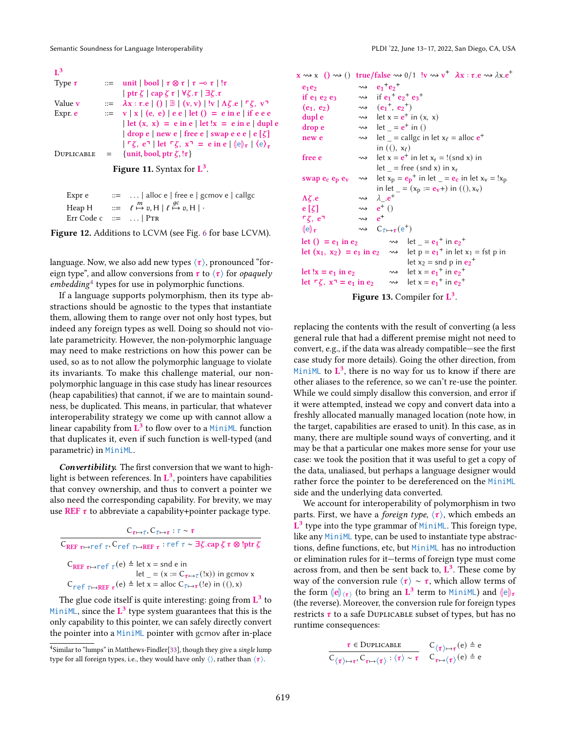<span id="page-10-0"></span>

| $\mathbf{I}^3$                       |                   |                                                                                                                                                                |  |
|--------------------------------------|-------------------|----------------------------------------------------------------------------------------------------------------------------------------------------------------|--|
| Type $\tau$                          |                   | $\equiv$ unit   bool   $\tau \otimes \tau$   $\tau \rightarrow \tau$   ! $\tau$                                                                                |  |
|                                      |                   | $ \text{ptr }\zeta  \text{cap }\zeta \tau  \forall \zeta.\tau   \exists \zeta.\tau$                                                                            |  |
| Value <b>v</b>                       |                   | $\mathbb{R} = \lambda \mathbf{x} : \tau.\mathbf{e} \mid (\mathbf{x}, \mathbf{v}) \mid \mathbf{w} \mid \mathbf{A} \zeta.\mathbf{e} \mid \mathbf{g}, \mathbf{v}$ |  |
| Expr. e                              |                   | $\equiv v   x   (e, e)   e e   \text{let} (x) = e \text{ in } e   \text{ if } e e e$                                                                           |  |
|                                      |                   | $\det(x, x) = e$ in e $\det x = e$ in e $\det x$                                                                                                               |  |
|                                      |                   | $ $ drop e $ $ new e $ $ free e $ $ swap e e e $ e(\zeta) $                                                                                                    |  |
|                                      |                   | $ \Gamma \zeta, e^{\eta} $ let $\Gamma \zeta, x^{\eta} = e$ in e $ e _{\tau}  e_{\tau} $                                                                       |  |
| DUPLICABLE                           | $\equiv$ $\equiv$ | {unit, bool, ptr $\zeta$ , $\{ \tau \}$ }                                                                                                                      |  |
| <b>Figure 11.</b> Syntax for $L^3$ . |                   |                                                                                                                                                                |  |

<span id="page-10-2"></span>

| Expr e                  | $\therefore$ $\therefore$ alloc e   free e   gcmov e   callgc                             |
|-------------------------|-------------------------------------------------------------------------------------------|
|                         | Heap H $::= \ell \stackrel{m}{\mapsto} v, H \mid \ell \stackrel{gc}{\mapsto} v, H \mid$ . |
| Err Code c $ ::=$   PTR |                                                                                           |

Figure 12. Additions to LCVM (see Fig. [6](#page-6-1) for base LCVM).

language. Now, we also add new types  $\langle \tau \rangle$ , pronounced "foreign type", and allow conversions from  $\tau$  to  $\langle \tau \rangle$  for *opaquely* embedding[4](#page-10-3) types for use in polymorphic functions.

If a language supports polymorphism, then its type abstractions should be agnostic to the types that instantiate them, allowing them to range over not only host types, but indeed any foreign types as well. Doing so should not violate parametricity. However, the non-polymorphic language may need to make restrictions on how this power can be used, so as to not allow the polymorphic language to violate its invariants. To make this challenge material, our nonpolymorphic language in this case study has linear resources (heap capabilities) that cannot, if we are to maintain soundness, be duplicated. This means, in particular, that whatever interoperability strategy we come up with cannot allow a linear capability from  $\overrightarrow{L}^3$  to flow over to a MiniML function that duplicates it, even if such function is well-typed (and parametric) in MiniML.

Convertibility. The first conversion that we want to highlight is between references. In  $\mathbf{L}^3$ , pointers have capabilities that convey ownership, and thus to convert a pointer we also need the corresponding capability. For brevity, we may use REF  $\tau$  to abbreviate a capability+pointer package type.

| $C_{\tau \mapsto \tau}$ , $C_{\tau \mapsto \tau}$ : $\tau \sim \tau$                                                                                  |
|-------------------------------------------------------------------------------------------------------------------------------------------------------|
| $C_{REF\ \tau\mapsto\tau\in\Gamma\ \tau}$ . $C_{\tau\in\Gamma\ \tau\mapstoREF\ \tau}$ : ref $\tau\sim\exists\zeta$ .cap $\zeta\tau\otimes!ptr\ \zeta$ |
| $C_{REF \tau \mapsto ref \tau}(e)$ $\triangleq$ let x = snd e in<br>let = $(x := C_{\tau \mapsto \tau}(x))$ in gcmov x                                |
| $C_{\text{ref}}$ $_{\tau \mapsto \text{REF}}$ $_{\tau}$ (e) $_{\pm}$ let x = alloc $C_{\tau \mapsto \tau}$ (!e) in ((), x)                            |

The glue code itself is quite interesting: going from  $\mathbf{L}^3$  to MiniML, since the  $L^3$  type system guarantees that this is the only capability to this pointer, we can safely directly convert the pointer into a MiniML pointer with gcmov after in-place

<span id="page-10-1"></span> $x \rightsquigarrow x ( ) \rightsquigarrow )$  true/false  $\rightsquigarrow 0/1$  !v  $\rightsquigarrow v^+$   $\lambda x : \tau.e \rightsquigarrow \lambda x.e^+$ 

| $e_1e_2$                                             |                          | $\rightsquigarrow$ $e_1^+e_2^+$                                                          |
|------------------------------------------------------|--------------------------|------------------------------------------------------------------------------------------|
| if $e_1$ $e_2$ $e_3$                                 |                          | $\rightsquigarrow$ if $e_1^+ e_2^+ e_3^+$                                                |
| $(e_1, e_2)$                                         |                          | $\rightsquigarrow$ $(e_1^+, e_2^+)$                                                      |
| dupl e                                               |                          | $\rightarrow$ let $x = e^+$ in $(x, x)$                                                  |
| drop e                                               |                          | $\rightarrow$ let = $e^+$ in ()                                                          |
| new e                                                |                          | $\rightarrow$ let = callgc in let $x_{\ell}$ = alloc $e^{+}$                             |
|                                                      |                          | in $($ , $x_{\ell}$ )                                                                    |
| free e                                               |                          | $\rightarrow$ let x = $e^+$ in let x <sub>r</sub> = !(snd x) in                          |
|                                                      |                          | $let$ = free (snd x) in $x_r$                                                            |
| swap $e_c$ $e_p$ $e_v$                               |                          | $\rightarrow$ let $x_p = e_p^+$ in let $e = e_c$ in let $x_v = 1x_p$                     |
|                                                      |                          | in let $_{-} = (x_p := e_v +)$ in $(0, x_v)$                                             |
| $\Lambda \zeta.e$                                    |                          | $\rightsquigarrow$ $\lambda_{-}e^{+}$                                                    |
| $e[\zeta]$                                           |                          | $\rightsquigarrow$ $e^+($ )                                                              |
| $\mathsf{F}\zeta$ , $e^{\mathsf{T}}$                 | $\rightsquigarrow$ $e^+$ |                                                                                          |
| $(\mathrm{e})_{\tau}$                                |                          | $\rightsquigarrow$ $C_{\tau \mapsto \tau}(\mathsf{e}^+)$                                 |
| let () = $e_1$ in $e_2$                              |                          | $\rightarrow$ let = $e_1^{\dagger}$ in $e_2^{\dagger}$                                   |
|                                                      |                          | let $(x_1, x_2) = e_1$ in $e_2 \longrightarrow$ let $p = e_1^+$ in let $x_1 = f$ st p in |
|                                                      |                          | let $x_2$ = snd p in $e_2$ <sup>+</sup>                                                  |
| let !x = $e_1$ in $e_2$                              |                          | $\rightarrow$ let x = $e_1$ <sup>+</sup> in $e_2$ <sup>+</sup>                           |
| let $\ulcorner \zeta$ , $x \urcorner = e_1$ in $e_2$ |                          | $\rightarrow$ let x = $e_1$ <sup>+</sup> in $e_2$ <sup>+</sup>                           |
|                                                      |                          |                                                                                          |

Figure 13. Compiler for  $L^3$ .

replacing the contents with the result of converting (a less general rule that had a different premise might not need to convert, e.g., if the data was already compatible—see the first case study for more details). Going the other direction, from MiniML to  $\mathbf{L}^3$ , there is no way for us to know if there are other aliases to the reference, so we can't re-use the pointer. While we could simply disallow this conversion, and error if it were attempted, instead we copy and convert data into a freshly allocated manually managed location (note how, in the target, capabilities are erased to unit). In this case, as in many, there are multiple sound ways of converting, and it may be that a particular one makes more sense for your use case: we took the position that it was useful to get a copy of the data, unaliased, but perhaps a language designer would rather force the pointer to be dereferenced on the MiniML side and the underlying data converted.

We account for interoperability of polymorphism in two parts. First, we have a *foreign type*,  $\langle \tau \rangle$ , which embeds an  $\mathbf{L}^3$  type into the type grammar of MiniML. This foreign type, like any MiniML type, can be used to instantiate type abstractions, define functions, etc, but MiniML has no introduction or elimination rules for it—terms of foreign type must come across from, and then be sent back to,  $\mathbf{L}^3$ . These come by way of the conversion rule  $\langle \tau \rangle \sim \tau$ , which allow terms of the form  $\langle e \rangle_{\langle \tau \rangle}$  (to bring an  $\dot{L}^3$  term to MiniML) and  $\langle e \rangle_{\tau}$ <br>(the reverse) Moreover the conversion rule for foreign types (the reverse). Moreover, the conversion rule for foreign types restricts  $\tau$  to a safe DUPLICABLE subset of types, but has no runtime consequences:

$$
\dfrac{\tau \in \text{Duplicable}}{C_{\langle \tau \rangle \mapsto \tau}, C_{\tau \mapsto \langle \tau \rangle} : \langle \tau \rangle \sim \tau} \quad \begin{array}{l} C_{\langle \tau \rangle \mapsto \tau}(e) \triangleq e \\ C_{\langle \tau \rangle \mapsto \tau}, C_{\tau \mapsto \langle \tau \rangle} : \langle \tau \rangle \sim \tau \end{array}
$$

<span id="page-10-3"></span><sup>&</sup>lt;sup>4</sup>Similar to "lumps" in Matthews-Findler<sup>[\[33\]](#page-15-5)</sup>, though they give a single lump type for all foreign types, i.e., they would have only  $\langle \rangle$ , rather than  $\langle \tau \rangle$ .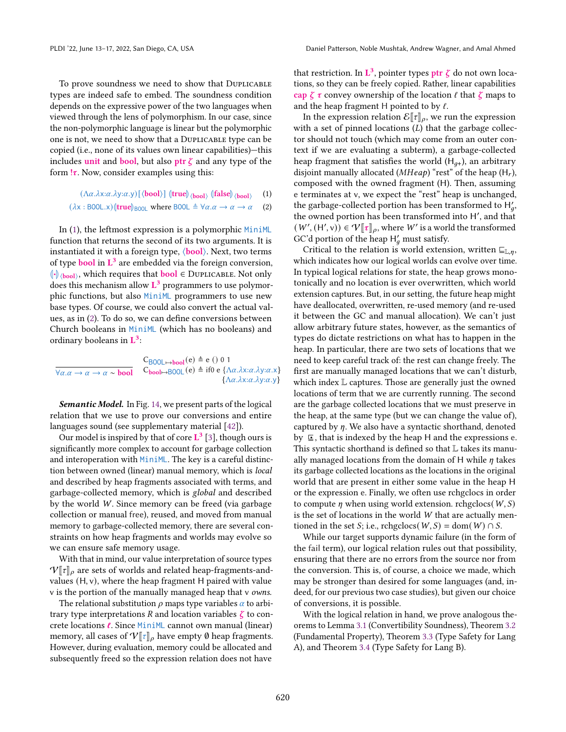To prove soundness we need to show that Duplicable types are indeed safe to embed. The soundness condition depends on the expressive power of the two languages when viewed through the lens of polymorphism. In our case, since the non-polymorphic language is linear but the polymorphic one is not, we need to show that a Duplicable type can be copied (i.e., none of its values own linear capabilities)—this includes unit and bool, but also ptr  $\zeta$  and any type of the form  $\tau$ . Now, consider examples using this:

> $(\Lambda \alpha.\lambda x:\alpha.\lambda y:\alpha.y)$  [ $\langle \textbf{bool} \rangle$ ]  $\langle \textbf{true} | \rangle_{\langle \textbf{bool} \rangle}$   $\langle \textbf{false} | \rangle_{\langle \textbf{bool} \rangle}$ (1)

$$
(\lambda x : \text{B00L}.x)(\text{true})_{\text{B00L}} \text{ where } \text{B00L} \triangleq \forall \alpha . \alpha \to \alpha \to \alpha \quad (2)
$$

In [\(1\)](#page-11-0), the leftmost expression is a polymorphic MiniML function that returns the second of its two arguments. It is instantiated it with a foreign type,  $\langle \text{bool} \rangle$ . Next, two terms of type **bool** in  $L^3$  are embedded via the foreign conversion,  $\left\Vert \cdot\right\Vert$  (bool), which requires that **bool**  $\in$  DUPLICABLE. Not only  $\frac{1}{2}$  does this mechanism allow  $\mathbf{L}^3$  programmers to use polymorphic functions, but also MiniML programmers to use new base types. Of course, we could also convert the actual values, as in [\(2\)](#page-11-1). To do so, we can define conversions between Church booleans in MiniML (which has no booleans) and ordinary booleans in  $\mathbf{L}^3$ :

$$
\frac{C_{B00L \to bool}(e) \triangleq e \ ( ) \ 0 \ 1}{\forall \alpha. \alpha \to \alpha \to \alpha \sim \text{bool}} \quad C_{bool \to B00L}(e) \triangleq if0 \ e \ {\Delta \alpha. \lambda x : \alpha. \lambda y : \alpha. x}
$$
\n
$$
\{\Lambda \alpha. \lambda x : \alpha. \lambda y : \alpha. y\}
$$

**Semantic Model.** In Fig. [14,](#page-12-0) we present parts of the logical relation that we use to prove our conversions and entire languages sound (see supplementary material [\[42\]](#page-15-13)).

Our model is inspired by that of core  $L^3$  [\[3\]](#page-14-8), though ours is significantly more complex to account for garbage collection and interoperation with MiniML. The key is a careful distinction between owned (linear) manual memory, which is local and described by heap fragments associated with terms, and garbage-collected memory, which is global and described by the world W. Since memory can be freed (via garbage collection or manual free), reused, and moved from manual memory to garbage-collected memory, there are several constraints on how heap fragments and worlds may evolve so we can ensure safe memory usage.

With that in mind, our value interpretation of source types  $V[\![\tau]\!]$ <sub>o</sub> are sets of worlds and related heap-fragments-andvalues (H, v), where the heap fragment H paired with value v is the portion of the manually managed heap that v owns.

The relational substitution  $\rho$  maps type variables  $\alpha$  to arbitrary type interpretations R and location variables  $\zeta$  to concrete locations ℓ. Since MiniML cannot own manual (linear) memory, all cases of  $V[\tau]_{\rho}$  have empty  $\emptyset$  heap fragments. However, during evaluation, memory could be allocated and subsequently freed so the expression relation does not have

that restriction. In  $\mathbf{L}^3$ , pointer types  $\mathsf{ptr} \ \zeta$  do not own locations, so they can be freely copied. Rather, linear capabilities cap  $\zeta \tau$  convey ownership of the location  $\ell$  that  $\zeta$  maps to and the heap fragment H pointed to by  $\ell$ .

In the expression relation  $\mathcal{E}[\![\tau]\!]_\rho$ , we run the expression with a set of pinned locations  $(L)$  that the garbage collector should not touch (which may come from an outer context if we are evaluating a subterm), a garbage-collected heap fragment that satisfies the world  $(H_{q+})$ , an arbitrary disjoint manually allocated ( $MHeap$ ) "rest" of the heap (H<sub>r</sub>), composed with the owned fragment (H). Then, assuming e terminates at v, we expect the "rest" heap is unchanged, the garbage-collected portion has been transformed to  $H'_a$ , the owned portion has been transformed into H′ , and that  $(W', (H', v)) \in \mathcal{V}[\![\tau]\!]_{\rho}$ , where W' is a world the transformed GC'd portion of the heap  $H'_a$  must satisfy.

<span id="page-11-1"></span><span id="page-11-0"></span>Critical to the relation is world extension, written  $\sqsubseteq_{\mathbb{L},n}$ , which indicates how our logical worlds can evolve over time. In typical logical relations for state, the heap grows monotonically and no location is ever overwritten, which world extension captures. But, in our setting, the future heap might have deallocated, overwritten, re-used memory (and re-used it between the GC and manual allocation). We can't just allow arbitrary future states, however, as the semantics of types do dictate restrictions on what has to happen in the heap. In particular, there are two sets of locations that we need to keep careful track of: the rest can change freely. The first are manually managed locations that we can't disturb, which index L captures. Those are generally just the owned locations of term that we are currently running. The second are the garbage collected locations that we must preserve in the heap, at the same type (but we can change the value of), captured by  $\eta$ . We also have a syntactic shorthand, denoted by ⊑• , that is indexed by the heap H and the expressions e. This syntactic shorthand is defined so that L takes its manually managed locations from the domain of H while  $\eta$  takes its garbage collected locations as the locations in the original world that are present in either some value in the heap H or the expression e. Finally, we often use rchgclocs in order to compute  $\eta$  when using world extension. rchgclocs( $W, S$ ) is the set of locations in the world W that are actually mentioned in the set *S*; i.e., rchgclocs( $W, S$ ) = dom( $W$ )  $\cap S$ .

While our target supports dynamic failure (in the form of the fail term), our logical relation rules out that possibility, ensuring that there are no errors from the source nor from the conversion. This is, of course, a choice we made, which may be stronger than desired for some languages (and, indeed, for our previous two case studies), but given our choice of conversions, it is possible.

With the logical relation in hand, we prove analogous theorems to Lemma [3.1](#page-5-1) (Convertibility Soundness), Theorem [3.2](#page-5-2) (Fundamental Property), Theorem [3.3](#page-5-3) (Type Safety for Lang A), and Theorem [3.4](#page-5-4) (Type Safety for Lang B).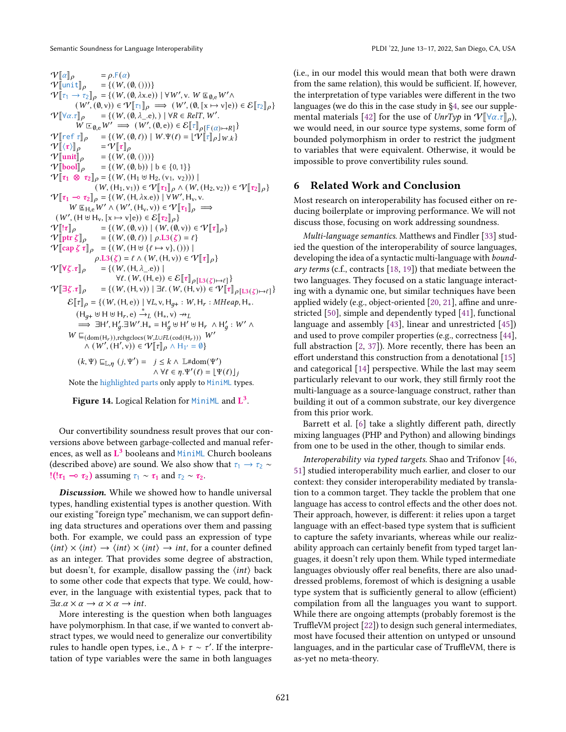<span id="page-12-0"></span> $V[\![\alpha]\!]_\rho$  =  $\rho$ .F( $\alpha$ )<br>  $V[\![\text{unit}]\!]_\rho$  = {( $W$ , (0, ()))}  $V[\text{unit}]_\rho = \{(W, (\emptyset, ()))\}$ <br> $V[\tau, \Delta, \tau] = ((W, (\emptyset, \Delta, \rho)))$  $V[\tau_1 \rightarrow \tau_2]_{\rho} = \{ (W, (0, \lambda x.e)) \mid \forall W', v. W \sqsubseteq_{\emptyset, e} W' \land \dots \sqsubseteq_{\emptyset, e} W' \}$  $(W', (\emptyset, v)) \in V[[\tau]]_p \implies (W', (\emptyset, [x \mapsto v]_e)) \in \mathcal{E}[[\tau_2]]_p$  $V[\forall \alpha.\tau]_{\rho} = \{ (W, (\emptyset, \lambda_-, e), ) \mid \forall R \in RelT, W'.$ <br> $W = W' \longrightarrow (W' \cdot (\emptyset, e)) \in E[\neg]$  $W \sqsubseteq_{\emptyset, e} W' \Longrightarrow (W', (\emptyset, e)) \in \mathcal{E}[\mathbb{T}]_{\rho[\mathsf{F}(\alpha) \mapsto R]}$  $\mathcal{V}[\![\text{ref } \tau]\!]_{\rho} = \{ (W, (\emptyset, \ell)) \mid W.\Psi(\ell) = \lfloor \hat{\Psi}[\![\tau]\!]_{\rho} \rfloor_{W,k} \}$ <br> $\mathcal{V}[\![\langle \tau \rangle]\!]_{\rho} = \mathcal{V}[\![\tau]\!]_{\rho}$  $\frac{\mathcal{V}[\![\langle \tau \rangle]\!]_{\rho}}{\mathcal{V}[\![\mathsf{unit}]\!]_{\rho}}$  $\begin{array}{ll} \mathcal{V}[\![\mathsf{unit}]\!]_\rho &= \{(\mathit{W}, (\emptyset, (\mathit{U})))\} \\ \mathcal{V}[\![\mathsf{bool}]\!]_\rho &= \{(\mathit{W}, (\emptyset, \mathsf{b}))\mid \end{array}$  $=\{(W, (\emptyset, b)) \mid b \in \{0, 1\}\}\$  $V[\![\tau_1 \otimes \tau_2]\!]_\rho = \{(W, (H_1 \uplus H_2, (v_1, v_2)))\!]$  $(W, (H_1, v_1)) \in \mathcal{V}[\![\tau_1]\!]_\rho \wedge (W, (H_2, v_2)) \in \mathcal{V}[\![\tau_2]\!]_\rho\}$  $V[\![\tau_1 \multimap \tau_2]\!]_p = \{(W, (H, \lambda x.e)) | \forall W', H_v, v,$ <br>WEXERENT A (W' (H, x))  $\in \mathbb{R}^{\vert\!\vert}$  $W \subseteq H_e W' \wedge (W', (H_v, v)) \in V[\![\tau_1]\!]_\rho \implies$  $(W', (H \cup H_v, [x \mapsto v]e)) \in \mathcal{E}[\![\tau_2]\!]_\rho$  $\label{eq:V} \begin{array}{ll} \mathcal{V} \big[ \!\! \big[ \![ \tau ]\!]_\rho & = \{ \big( \, W , (\emptyset, \nu) \big) \; \big| \; \big( \, W , (\emptyset, \nu) \big) \in \mathcal{V} \big[ \![ \tau ]\!]_\rho \} \\ \mathcal{V} \big[ \!\! \big[ \!\! \big[ \text{ptr} \, \zeta \big] \!\! \big]_\rho & = \{ \big( \, W , (\emptyset, \ell) \big) \; \big| \; \rho . \text{L3}(\zeta) = \ell \} \end{array}$  $= \{ (W, (\emptyset, \ell)) \mid \rho \text{.} L3(\zeta) = \ell \}$  $V[\c{cap} \zeta \tau]_{\rho} = \{(W, (H \uplus \{\ell \mapsto v\},)))\}$  $\rho.L3(\zeta) = \ell \wedge (W, (H, v)) \in \mathcal{V}[\![\tau]\!]_{\rho}$  $\mathcal{V}[\![\forall \zeta.\tau]\!]_{\rho}$  = {(W, (H,  $\lambda$ <sub>-</sub>.e)) |  $\forall \ell. (W, (H, e)) \in \mathcal{E}[\![\tau]\!]_{\rho[\mathrm{L}3(\zeta) \mapsto \ell]}\}$  $V[\exists \zeta \cdot \tau]_{\rho} = \{(W, (H, v)) \mid \exists \ell \cdot (W, (H, v)) \in V[\tau]_{\rho[\text{L3}(\zeta) \mapsto \ell]} \}$  $\mathcal{E}[\![\tau]\!]_{\rho} = \{(W, (H, e)) \mid \forall L, v, H_{q+} : W, H_r : MHeap, H_*\$  $(H_{q+} \uplus H \uplus H_r, e) \stackrel{*}{\rightarrow} _L (H_*, v) \rightarrow_L$  $\Rightarrow$   $\exists H', H'_q \exists W'. H_* = H'_q \uplus H' \uplus H_r \wedge H'_q : W' \wedge$  $W \sqsubseteq_{(\text{dom}(\mathsf{H}_r)), \text{rehgelocs}(W, L\cup FL(\text{cod}(\mathsf{H}_r)))} W'$  $\wedge$   $(W', (H', v)) \in \mathcal{V}[[\tau]]\rho \wedge H_{1'} = \emptyset$  $(k, \Psi) \sqsubseteq_{\mathbb{L}, n} (j, \Psi') = j \leq k \wedge \mathbb{L} \# \text{dom}(\Psi')$ 

 $\wedge \forall \ell \in \eta \Psi'(\ell) = \left[ \Psi(\ell) \right]_k$ Note the highlighted parts only apply to MiniML types.

Figure 14. Logical Relation for  $MinIML$  and  $L^3$ .

Our convertibility soundness result proves that our conversions above between garbage-collected and manual references, as well as L<sup>3</sup> booleans and MiniML Church booleans (described above) are sound. We also show that  $\tau_1 \rightarrow \tau_2 \sim$ !(! $\tau_1 \rightarrow \tau_2$ ) assuming  $\tau_1 \sim \tau_1$  and  $\tau_2 \sim \tau_2$ .

Discussion. While we showed how to handle universal types, handling existential types is another question. With our existing "foreign type" mechanism, we can support defining data structures and operations over them and passing both. For example, we could pass an expression of type  $\langle int \rangle \times \langle int \rangle \rightarrow \langle int \rangle \times \langle int \rangle \rightarrow int$ , for a counter defined as an integer. That provides some degree of abstraction, but doesn't, for example, disallow passing the  $\langle int \rangle$  back to some other code that expects that type. We could, however, in the language with existential types, pack that to  $\exists \alpha \ldotp \alpha \times \alpha \rightarrow \alpha \times \alpha \rightarrow int.$ 

More interesting is the question when both languages have polymorphism. In that case, if we wanted to convert abstract types, we would need to generalize our convertibility rules to handle open types, i.e.,  $\Delta \vdash \tau \sim \tau'$ . If the interpretation of type variables were the same in both languages

(i.e., in our model this would mean that both were drawn from the same relation), this would be sufficient. If, however, the interpretation of type variables were different in the two languages (we do this in the case study in [§4,](#page-5-0) see our supple-mental materials [\[42\]](#page-15-13) for the use of  $UnrTyp$  in  $\mathcal{V}[\forall \alpha.\tau]_{\rho}$ ), we would need, in our source type systems, some form of bounded polymorphism in order to restrict the judgment to variables that were equivalent. Otherwise, it would be impossible to prove convertibility rules sound.

# 6 Related Work and Conclusion

Most research on interoperability has focused either on reducing boilerplate or improving performance. We will not discuss those, focusing on work addressing soundness.

Multi-language semantics. Matthews and Findler [\[33\]](#page-15-5) studied the question of the interoperability of source languages, developing the idea of a syntactic multi-language with *bound*ary terms (c.f., contracts [\[18,](#page-14-13) [19\]](#page-14-14)) that mediate between the two languages. They focused on a static language interacting with a dynamic one, but similar techniques have been applied widely (e.g., object-oriented [\[20,](#page-14-15) [21\]](#page-14-16), affine and unrestricted [\[50\]](#page-15-8), simple and dependently typed [\[41\]](#page-15-6), functional language and assembly [\[43\]](#page-15-9), linear and unrestricted [\[45\]](#page-15-7)) and used to prove compiler properties (e.g., correctness [\[44\]](#page-15-11), full abstraction [\[2,](#page-14-5) [37\]](#page-15-10)). More recently, there has been an effort understand this construction from a denotational [\[15\]](#page-14-17) and categorical [\[14\]](#page-14-18) perspective. While the last may seem particularly relevant to our work, they still firmly root the multi-language as a source-language construct, rather than building it out of a common substrate, our key divergence from this prior work.

Barrett et al. [\[6\]](#page-14-19) take a slightly different path, directly mixing languages (PHP and Python) and allowing bindings from one to be used in the other, though to similar ends.

Interoperability via typed targets. Shao and Trifonov [\[46,](#page-15-16) [51\]](#page-15-17) studied interoperability much earlier, and closer to our context: they consider interoperability mediated by translation to a common target. They tackle the problem that one language has access to control effects and the other does not. Their approach, however, is different: it relies upon a target language with an effect-based type system that is sufficient to capture the safety invariants, whereas while our realizability approach can certainly benefit from typed target languages, it doesn't rely upon them. While typed intermediate languages obviously offer real benefits, there are also unaddressed problems, foremost of which is designing a usable type system that is sufficiently general to allow (efficient) compilation from all the languages you want to support. While there are ongoing attempts (probably foremost is the TruffleVM project [\[22\]](#page-14-20)) to design such general intermediates, most have focused their attention on untyped or unsound languages, and in the particular case of TruffleVM, there is as-yet no meta-theory.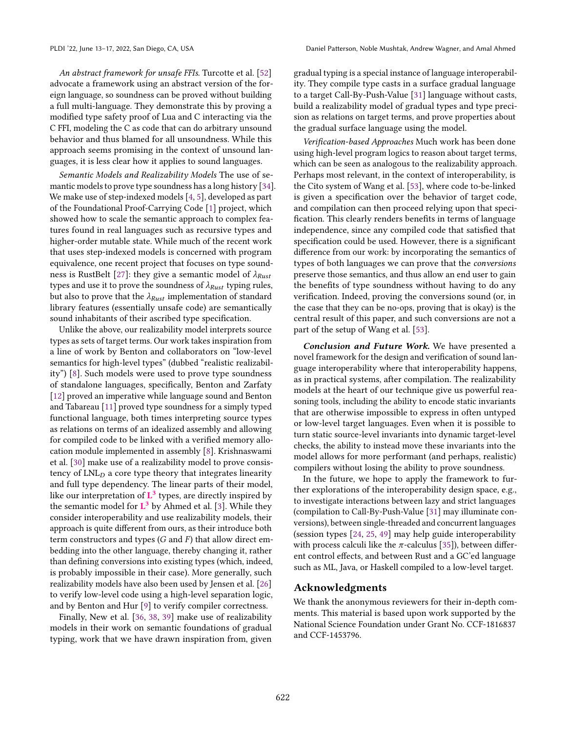An abstract framework for unsafe FFIs. Turcotte et al. [\[52\]](#page-15-18) advocate a framework using an abstract version of the foreign language, so soundness can be proved without building a full multi-language. They demonstrate this by proving a modified type safety proof of Lua and C interacting via the C FFI, modeling the C as code that can do arbitrary unsound behavior and thus blamed for all unsoundness. While this approach seems promising in the context of unsound languages, it is less clear how it applies to sound languages.

Semantic Models and Realizability Models The use of semantic models to prove type soundness has a long history [\[34\]](#page-15-19). We make use of step-indexed models [\[4,](#page-14-11) [5\]](#page-14-21), developed as part of the Foundational Proof-Carrying Code [\[1\]](#page-14-22) project, which showed how to scale the semantic approach to complex features found in real languages such as recursive types and higher-order mutable state. While much of the recent work that uses step-indexed models is concerned with program equivalence, one recent project that focuses on type sound-ness is RustBelt [\[27\]](#page-14-23): they give a semantic model of  $\lambda_{Rust}$ types and use it to prove the soundness of  $\lambda_{Rust}$  typing rules, but also to prove that the  $\lambda_{Rust}$  implementation of standard library features (essentially unsafe code) are semantically sound inhabitants of their ascribed type specification.

Unlike the above, our realizability model interprets source types as sets of target terms. Our work takes inspiration from a line of work by Benton and collaborators on "low-level semantics for high-level types" (dubbed "realistic realizability") [\[8\]](#page-14-24). Such models were used to prove type soundness of standalone languages, specifically, Benton and Zarfaty [\[12\]](#page-14-6) proved an imperative while language sound and Benton and Tabareau [\[11\]](#page-14-7) proved type soundness for a simply typed functional language, both times interpreting source types as relations on terms of an idealized assembly and allowing for compiled code to be linked with a verified memory allocation module implemented in assembly [\[8\]](#page-14-24). Krishnaswami et al. [\[30\]](#page-14-25) make use of a realizability model to prove consistency of  $LNL<sub>D</sub>$  a core type theory that integrates linearity and full type dependency. The linear parts of their model, like our interpretation of  $L^3$  types, are directly inspired by the semantic model for  $L^3$  by Ahmed et al. [\[3\]](#page-14-8). While they consider interoperability and use realizability models, their approach is quite different from ours, as their introduce both term constructors and types  $(G \text{ and } F)$  that allow direct embedding into the other language, thereby changing it, rather than defining conversions into existing types (which, indeed, is probably impossible in their case). More generally, such realizability models have also been used by Jensen et al. [\[26\]](#page-14-26) to verify low-level code using a high-level separation logic, and by Benton and Hur [\[9\]](#page-14-27) to verify compiler correctness.

Finally, New et al. [\[36,](#page-15-20) [38,](#page-15-21) [39\]](#page-15-22) make use of realizability models in their work on semantic foundations of gradual typing, work that we have drawn inspiration from, given gradual typing is a special instance of language interoperability. They compile type casts in a surface gradual language to a target Call-By-Push-Value [\[31\]](#page-15-15) language without casts, build a realizability model of gradual types and type precision as relations on target terms, and prove properties about the gradual surface language using the model.

Verification-based Approaches Much work has been done using high-level program logics to reason about target terms, which can be seen as analogous to the realizability approach. Perhaps most relevant, in the context of interoperability, is the Cito system of Wang et al. [\[53\]](#page-15-23), where code to-be-linked is given a specification over the behavior of target code, and compilation can then proceed relying upon that specification. This clearly renders benefits in terms of language independence, since any compiled code that satisfied that specification could be used. However, there is a significant difference from our work: by incorporating the semantics of types of both languages we can prove that the conversions preserve those semantics, and thus allow an end user to gain the benefits of type soundness without having to do any verification. Indeed, proving the conversions sound (or, in the case that they can be no-ops, proving that is okay) is the central result of this paper, and such conversions are not a part of the setup of Wang et al. [\[53\]](#page-15-23).

Conclusion and Future Work. We have presented a novel framework for the design and verification of sound language interoperability where that interoperability happens, as in practical systems, after compilation. The realizability models at the heart of our technique give us powerful reasoning tools, including the ability to encode static invariants that are otherwise impossible to express in often untyped or low-level target languages. Even when it is possible to turn static source-level invariants into dynamic target-level checks, the ability to instead move these invariants into the model allows for more performant (and perhaps, realistic) compilers without losing the ability to prove soundness.

In the future, we hope to apply the framework to further explorations of the interoperability design space, e.g., to investigate interactions between lazy and strict languages (compilation to Call-By-Push-Value [\[31\]](#page-15-15) may illuminate conversions), between single-threaded and concurrent languages (session types [\[24,](#page-14-28) [25,](#page-14-29) [49\]](#page-15-24) may help guide interoperability with process calculi like the  $\pi$ -calculus [\[35\]](#page-15-25)), between different control effects, and between Rust and a GC'ed language such as ML, Java, or Haskell compiled to a low-level target.

### Acknowledgments

We thank the anonymous reviewers for their in-depth comments. This material is based upon work supported by the National Science Foundation under Grant No. CCF-1816837 and CCF-1453796.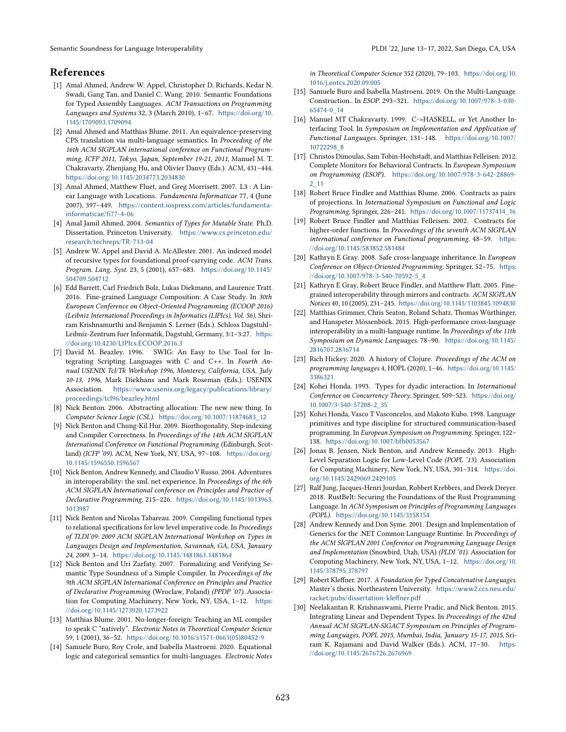Semantic Soundness for Language Interoperability **PLOI** '22, June 13–17, 2022, San Diego, CA, USA

# References

- <span id="page-14-22"></span>[1] Amal Ahmed, Andrew W. Appel, Christopher D. Richards, Kedar N. Swadi, Gang Tan, and Daniel C. Wang. 2010. Semantic Foundations for Typed Assembly Languages. ACM Transactions on Programming Languages and Systems 32, 3 (March 2010), 1–67. [https://doi.org/10.](https://doi.org/10.1145/1709093.1709094) [1145/1709093.1709094](https://doi.org/10.1145/1709093.1709094)
- <span id="page-14-5"></span>[2] Amal Ahmed and Matthias Blume. 2011. An equivalence-preserving CPS translation via multi-language semantics. In Proceeding of the 16th ACM SIGPLAN international conference on Functional Programming, ICFP 2011, Tokyo, Japan, September 19-21, 2011, Manuel M. T. Chakravarty, Zhenjiang Hu, and Olivier Danvy (Eds.). ACM, 431–444. <https://doi.org/10.1145/2034773.2034830>
- <span id="page-14-8"></span>[3] Amal Ahmed, Matthew Fluet, and Greg Morrisett. 2007. L3 : A Linear Language with Locations. Fundamenta Informaticae 77, 4 (June 2007), 397–449. [https://content.iospress.com/articles/fundamenta](https://content.iospress.com/articles/fundamenta-informaticae/fi77-4-06)[informaticae/fi77-4-06](https://content.iospress.com/articles/fundamenta-informaticae/fi77-4-06)
- <span id="page-14-11"></span>[4] Amal Jamil Ahmed. 2004. Semantics of Types for Mutable State. Ph.D. Dissertation. Princeton University. [https://www.cs.princeton.edu/](https://www.cs.princeton.edu/research/techreps/TR-713-04) [research/techreps/TR-713-04](https://www.cs.princeton.edu/research/techreps/TR-713-04)
- <span id="page-14-21"></span>[5] Andrew W. Appel and David A. McAllester. 2001. An indexed model of recursive types for foundational proof-carrying code. ACM Trans. Program. Lang. Syst. 23, 5 (2001), 657–683. [https://doi.org/10.1145/](https://doi.org/10.1145/504709.504712) [504709.504712](https://doi.org/10.1145/504709.504712)
- <span id="page-14-19"></span>[6] Edd Barrett, Carl Friedrich Bolz, Lukas Diekmann, and Laurence Tratt. 2016. Fine-grained Language Composition: A Case Study. In 30th European Conference on Object-Oriented Programming (ECOOP 2016) (Leibniz International Proceedings in Informatics (LIPIcs), Vol. 56), Shriram Krishnamurthi and Benjamin S. Lerner (Eds.). Schloss Dagstuhl– Leibniz-Zentrum fuer Informatik, Dagstuhl, Germany, 3:1–3:27. [https:](https://doi.org/10.4230/LIPIcs.ECOOP.2016.3) [//doi.org/10.4230/LIPIcs.ECOOP.2016.3](https://doi.org/10.4230/LIPIcs.ECOOP.2016.3)
- <span id="page-14-2"></span>[7] David M. Beazley. 1996. SWIG: An Easy to Use Tool for Integrating Scripting Languages with C and C++. In Fourth Annual USENIX Tcl/Tk Workshop 1996, Monterey, California, USA, July 10-13, 1996, Mark Diekhans and Mark Roseman (Eds.). USENIX Association. [https://www.usenix.org/legacy/publications/library/](https://www.usenix.org/legacy/publications/library/proceedings/tcl96/beazley.html) [proceedings/tcl96/beazley.html](https://www.usenix.org/legacy/publications/library/proceedings/tcl96/beazley.html)
- <span id="page-14-24"></span>[8] Nick Benton. 2006. Abstracting allocation: The new new thing. In Computer Science Logic (CSL). [https://doi.org/10.1007/11874683\\_12](https://doi.org/10.1007/11874683_12)
- <span id="page-14-27"></span>[9] Nick Benton and Chung-Kil Hur. 2009. Biorthogonality, Step-indexing and Compiler Correctness. In Proceedings of the 14th ACM SIGPLAN International Conference on Functional Programming (Edinburgh, Scotland) (ICFP '09). ACM, New York, NY, USA, 97–108. [https://doi.org/](https://doi.org/10.1145/1596550.1596567) [10.1145/1596550.1596567](https://doi.org/10.1145/1596550.1596567)
- <span id="page-14-1"></span>[10] Nick Benton, Andrew Kennedy, and Claudio V Russo. 2004. Adventures in interoperability: the sml. net experience. In Proceedings of the 6th ACM SIGPLAN International conference on Principles and Practice of Declarative Programming. 215–226. [https://doi.org/10.1145/1013963.](https://doi.org/10.1145/1013963.1013987) [1013987](https://doi.org/10.1145/1013963.1013987)
- <span id="page-14-7"></span>[11] Nick Benton and Nicolas Tabareau. 2009. Compiling functional types to relational specifications for low level imperative code. In Proceedings of TLDI'09: 2009 ACM SIGPLAN International Workshop on Types in Languages Design and Implementation, Savannah, GA, USA, January 24, 2009. 3–14. <https://doi.org/10.1145/1481861.1481864>
- <span id="page-14-6"></span>[12] Nick Benton and Uri Zarfaty. 2007. Formalizing and Verifying Semantic Type Soundness of a Simple Compiler. In Proceedings of the 9th ACM SIGPLAN International Conference on Principles and Practice of Declarative Programming (Wroclaw, Poland) (PPDP '07). Association for Computing Machinery, New York, NY, USA, 1-12. [https:](https://doi.org/10.1145/1273920.1273922) [//doi.org/10.1145/1273920.1273922](https://doi.org/10.1145/1273920.1273922)
- <span id="page-14-4"></span>[13] Matthias Blume. 2001. No-longer-foreign: Teaching an ML compiler to speak C "natively". Electronic Notes in Theoretical Computer Science 59, 1 (2001), 36–52. [https://doi.org/10.1016/s1571-0661\(05\)80452-9](https://doi.org/10.1016/s1571-0661(05)80452-9)
- <span id="page-14-18"></span>[14] Samuele Buro, Roy Crole, and Isabella Mastroeni. 2020. Equational logic and categorical semantics for multi-languages. Electronic Notes

in Theoretical Computer Science 352 (2020), 79–103. [https://doi.org/10.](https://doi.org/10.1016/j.entcs.2020.09.005) [1016/j.entcs.2020.09.005](https://doi.org/10.1016/j.entcs.2020.09.005)

- <span id="page-14-17"></span>[15] Samuele Buro and Isabella Mastroeni. 2019. On the Multi-Language Construction.. In ESOP. 293–321. [https://doi.org/10.1007/978-3-030-](https://doi.org/10.1007/978-3-030-65474-0_14) [65474-0\\_14](https://doi.org/10.1007/978-3-030-65474-0_14)
- <span id="page-14-3"></span>[16] Manuel MT Chakravarty. 1999. C->HASKELL, or Yet Another Interfacing Tool. In Symposium on Implementation and Application of Functional Languages. Springer, 131–148. [https://doi.org/10.1007/](https://doi.org/10.1007/10722298_8) [10722298\\_8](https://doi.org/10.1007/10722298_8)
- <span id="page-14-9"></span>[17] Christos Dimoulas, Sam Tobin-Hochstadt, and Matthias Felleisen. 2012. Complete Monitors for Behavioral Contracts. In European Symposium on Programming (ESOP). [https://doi.org/10.1007/978-3-642-28869-](https://doi.org/10.1007/978-3-642-28869-2_11) [2\\_11](https://doi.org/10.1007/978-3-642-28869-2_11)
- <span id="page-14-13"></span>[18] Robert Bruce Findler and Matthias Blume. 2006. Contracts as pairs of projections. In International Symposium on Functional and Logic Programming. Springer, 226–241. [https://doi.org/10.1007/11737414\\_16](https://doi.org/10.1007/11737414_16)
- <span id="page-14-14"></span>[19] Robert Bruce Findler and Matthias Felleisen. 2002. Contracts for higher-order functions. In Proceedings of the seventh ACM SIGPLAN international conference on Functional programming. 48–59. [https:](https://doi.org/10.1145/583852.581484) [//doi.org/10.1145/583852.581484](https://doi.org/10.1145/583852.581484)
- <span id="page-14-15"></span>[20] Kathryn E Gray. 2008. Safe cross-language inheritance. In European Conference on Object-Oriented Programming. Springer, 52–75. [https:](https://doi.org/10.1007/978-3-540-70592-5_4) [//doi.org/10.1007/978-3-540-70592-5\\_4](https://doi.org/10.1007/978-3-540-70592-5_4)
- <span id="page-14-16"></span>[21] Kathryn E Gray, Robert Bruce Findler, and Matthew Flatt. 2005. Finegrained interoperability through mirrors and contracts. ACM SIGPLAN Notices 40, 10 (2005), 231–245. <https://doi.org/10.1145/1103845.1094830>
- <span id="page-14-20"></span>[22] Matthias Grimmer, Chris Seaton, Roland Schatz, Thomas Würthinger, and Hanspeter Mössenböck. 2015. High-performance cross-language interoperability in a multi-language runtime. In Proceedings of the 11th Symposium on Dynamic Languages. 78–90. [https://doi.org/10.1145/](https://doi.org/10.1145/2816707.2816714) [2816707.2816714](https://doi.org/10.1145/2816707.2816714)
- <span id="page-14-0"></span>[23] Rich Hickey. 2020. A history of Clojure. Proceedings of the ACM on programming languages 4, HOPL (2020), 1–46. [https://doi.org/10.1145/](https://doi.org/10.1145/3386321) [3386321](https://doi.org/10.1145/3386321)
- <span id="page-14-28"></span>[24] Kohei Honda. 1993. Types for dyadic interaction. In International Conference on Concurrency Theory. Springer, 509–523. [https://doi.org/](https://doi.org/10.1007/3-540-57208-2_35) [10.1007/3-540-57208-2\\_35](https://doi.org/10.1007/3-540-57208-2_35)
- <span id="page-14-29"></span>[25] Kohei Honda, Vasco T Vasconcelos, and Makoto Kubo. 1998. Language primitives and type discipline for structured communication-based programming. In European Symposium on Programming. Springer, 122– 138. <https://doi.org/10.1007/bfb0053567>
- <span id="page-14-26"></span>[26] Jonas B. Jensen, Nick Benton, and Andrew Kennedy. 2013. High-Level Separation Logic for Low-Level Code (POPL '13). Association for Computing Machinery, New York, NY, USA, 301–314. [https://doi.](https://doi.org/10.1145/2429069.2429105) [org/10.1145/2429069.2429105](https://doi.org/10.1145/2429069.2429105)
- <span id="page-14-23"></span>[27] Ralf Jung, Jacques-Henri Jourdan, Robbert Krebbers, and Derek Dreyer. 2018. RustBelt: Securing the Foundations of the Rust Programming Language. In ACM Symposium on Principles of Programming Languages (POPL). <https://doi.org/10.1145/3158154>
- <span id="page-14-12"></span>[28] Andrew Kennedy and Don Syme. 2001. Design and Implementation of Generics for the .NET Common Language Runtime. In Proceedings of the ACM SIGPLAN 2001 Conference on Programming Language Design and Implementation (Snowbird, Utah, USA) (PLDI '01). Association for Computing Machinery, New York, NY, USA, 1–12. [https://doi.org/10.](https://doi.org/10.1145/378795.378797) [1145/378795.378797](https://doi.org/10.1145/378795.378797)
- <span id="page-14-10"></span>[29] Robert Kleffner. 2017. A Foundation for Typed Concatenative Languages. Master's thesis. Northeastern University. [https://www2.ccs.neu.edu/](https://www2.ccs.neu.edu/racket/pubs/dissertation-kleffner.pdf) [racket/pubs/dissertation-kleffner.pdf](https://www2.ccs.neu.edu/racket/pubs/dissertation-kleffner.pdf)
- <span id="page-14-25"></span>[30] Neelakantan R. Krishnaswami, Pierre Pradic, and Nick Benton. 2015. Integrating Linear and Dependent Types. In Proceedings of the 42nd Annual ACM SIGPLAN-SIGACT Symposium on Principles of Programming Languages, POPL 2015, Mumbai, India, January 15-17, 2015, Sriram K. Rajamani and David Walker (Eds.). ACM, 17–30. [https:](https://doi.org/10.1145/2676726.2676969) [//doi.org/10.1145/2676726.2676969](https://doi.org/10.1145/2676726.2676969)